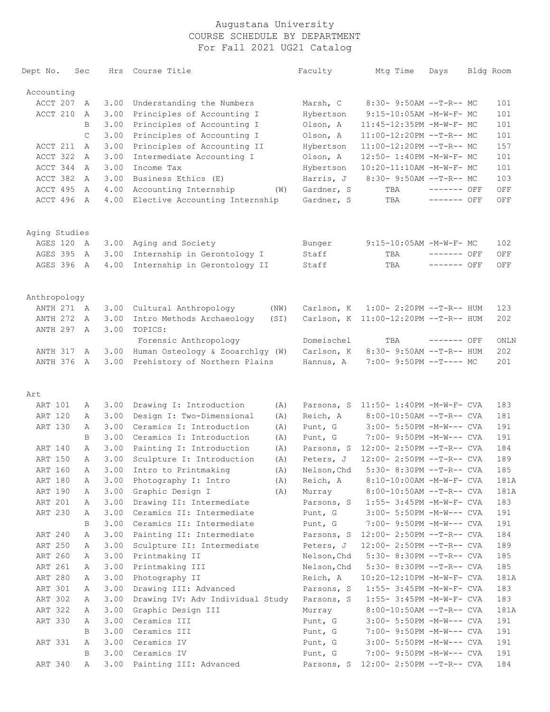| Dept No.      | Sec          | Hrs  | Course Title                      | Faculty     | Mtg Time                             | Days        | Bldg Room |
|---------------|--------------|------|-----------------------------------|-------------|--------------------------------------|-------------|-----------|
| Accounting    |              |      |                                   |             |                                      |             |           |
| ACCT 207      | A            | 3.00 | Understanding the Numbers         | Marsh, C    | 8:30- 9:50AM --T-R-- MC              |             | 101       |
| ACCT 210      | A            | 3.00 | Principles of Accounting I        | Hybertson   | 9:15-10:05AM -M-W-F- MC              |             | 101       |
|               | B            | 3.00 | Principles of Accounting I        | Olson, A    | 11:45-12:35PM -M-W-F- MC             |             | 101       |
|               | $\mathsf{C}$ | 3.00 | Principles of Accounting I        | Olson, A    | 11:00-12:20PM --T-R-- MC             |             | 101       |
| ACCT 211      | A            | 3.00 | Principles of Accounting II       | Hybertson   | 11:00-12:20PM --T-R-- MC             |             | 157       |
| ACCT 322      | A            | 3.00 | Intermediate Accounting I         | Olson, A    | 12:50- 1:40PM -M-W-F- MC             |             | 101       |
| ACCT 344      | A            | 3.00 | Income Tax                        | Hybertson   | 10:20-11:10AM -M-W-F- MC             |             | 101       |
| ACCT 382      | A            | 3.00 | Business Ethics (E)               | Harris, J   | 8:30- 9:50AM --T-R-- MC              |             | 103       |
| ACCT 495      | A            | 4.00 | Accounting Internship<br>(W)      | Gardner, S  | TBA                                  | ------- OFF | OFF       |
| ACCT 496      | A            | 4.00 | Elective Accounting Internship    | Gardner, S  | TBA                                  | ------- OFF | OFF       |
| Aging Studies |              |      |                                   |             |                                      |             |           |
| AGES 120      | A            | 3.00 | Aging and Society                 | Bunger      | 9:15-10:05AM -M-W-F- MC              |             | 102       |
| AGES 395      | A            | 3.00 | Internship in Gerontology I       | Staff       | TBA                                  | ------- OFF | OFF       |
| AGES 396      | A            | 4.00 | Internship in Gerontology II      | Staff       | TBA                                  | ------- OFF | OFF       |
| Anthropology  |              |      |                                   |             |                                      |             |           |
| ANTH 271 A    |              | 3.00 | Cultural Anthropology<br>(NW)     | Carlson, K  | $1:00-2:20PM -T-R--HUM$              |             | 123       |
| ANTH 272      | A            | 3.00 | Intro Methods Archaeology<br>(SI) |             | Carlson, K 11:00-12:20PM --T-R-- HUM |             | 202       |
| ANTH 297      | $\mathbb{A}$ | 3.00 | TOPICS:<br>Forensic Anthropology  | Domeischel  | TBA                                  | ------- OFF | ONLN      |
| ANTH 317      | A            | 3.00 | Human Osteology & Zooarchlgy (W)  | Carlson, K  | 8:30- 9:50AM --T-R-- HUM             |             | 202       |
| ANTH 376      | A            | 3.00 | Prehistory of Northern Plains     | Hannus, A   | $7:00-9:50PM -T--- MC$               |             | 201       |
| Art           |              |      |                                   |             |                                      |             |           |
| ART 101       | А            | 3.00 | Drawing I: Introduction<br>(A)    | Parsons, S  | $11:50 - 1:40PM - M - W - F - CVA$   |             | 183       |
| ART 120       | Α            | 3.00 | Design I: Two-Dimensional<br>(A)  | Reich, A    | 8:00-10:50AM --T-R-- CVA             |             | 181       |
| ART 130       | Α            | 3.00 | Ceramics I: Introduction<br>(A)   | Punt, G     | 3:00- 5:50PM -M-W--- CVA             |             | 191       |
|               | B            | 3.00 | Ceramics I: Introduction<br>(A)   | Punt, G     | 7:00- 9:50PM -M-W--- CVA             |             | 191       |
| ART 140       | Α            | 3.00 | Painting I: Introduction<br>(A)   | Parsons, S  | 12:00- 2:50PM --T-R-- CVA            |             | 184       |
| ART 150       | Α            | 3.00 | Sculpture I: Introduction<br>(A)  | Peters, J   | 12:00- 2:50PM --T-R-- CVA            |             | 189       |
| ART 160       | А            | 3.00 | Intro to Printmaking<br>(A)       | Nelson, Chd | 5:30- 8:30PM --T-R-- CVA             |             | 185       |
| ART 180       | Α            | 3.00 | Photography I: Intro<br>(A)       | Reich, A    | $8:10-10:00$ AM -M-W-F- CVA          |             | 181A      |
| ART 190       | Α            |      | 3.00 Graphic Design I<br>(A)      | Murray      | $8:00-10:50AM$ --T-R-- CVA           |             | 181A      |
| ART 201       | Α            | 3.00 | Drawing II: Intermediate          | Parsons, S  | 1:55- 3:45PM -M-W-F- CVA             |             | 183       |
| ART 230       | Α            | 3.00 | Ceramics II: Intermediate         | Punt, G     | 3:00- 5:50PM -M-W--- CVA             |             | 191       |
|               | B            | 3.00 | Ceramics II: Intermediate         | Punt, G     | 7:00- 9:50PM -M-W--- CVA             |             | 191       |
| ART 240       | Α            | 3.00 | Painting II: Intermediate         |             | Parsons, S 12:00- 2:50PM --T-R-- CVA |             | 184       |
| ART 250       | Α            | 3.00 | Sculpture II: Intermediate        | Peters, J   | 12:00- 2:50PM --T-R-- CVA            |             | 189       |
| ART 260       | Α            | 3.00 | Printmaking II                    | Nelson, Chd | $5:30-8:30PM --T-R--CVA$             |             | 185       |
| ART 261       | Α            | 3.00 | Printmaking III                   | Nelson, Chd | $5:30-8:30PM --T-R--CVA$             |             | 185       |
| ART 280       | Α            | 3.00 | Photography II                    | Reich, A    | 10:20-12:10PM -M-W-F- CVA            |             | 181A      |
| ART 301       | Α            | 3.00 | Drawing III: Advanced             | Parsons, S  | 1:55- 3:45PM -M-W-F- CVA             |             | 183       |
| ART 302       | Α            | 3.00 | Drawing IV: Adv Individual Study  | Parsons, S  | 1:55- 3:45PM -M-W-F- CVA             |             | 183       |
| ART 322       | Α            | 3.00 | Graphic Design III                | Murray      | $8:00-10:50AM$ --T-R-- CVA           |             | 181A      |
| ART 330       | Α            | 3.00 | Ceramics III                      | Punt, G     | 3:00- 5:50PM -M-W--- CVA             |             | 191       |
|               | B            | 3.00 | Ceramics III                      | Punt, G     | 7:00- 9:50PM -M-W--- CVA             |             | 191       |
| ART 331       | А            |      | 3.00 Ceramics IV                  | Punt, G     | $3:00-5:50PM -M-W---$ CVA            |             | 191       |
|               | B            |      | 3.00 Ceramics IV                  | Punt, G     | 7:00- 9:50PM -M-W--- CVA             |             | 191       |
| ART 340       | Α            |      | 3.00 Painting III: Advanced       |             | Parsons, S 12:00- 2:50PM --T-R-- CVA |             | 184       |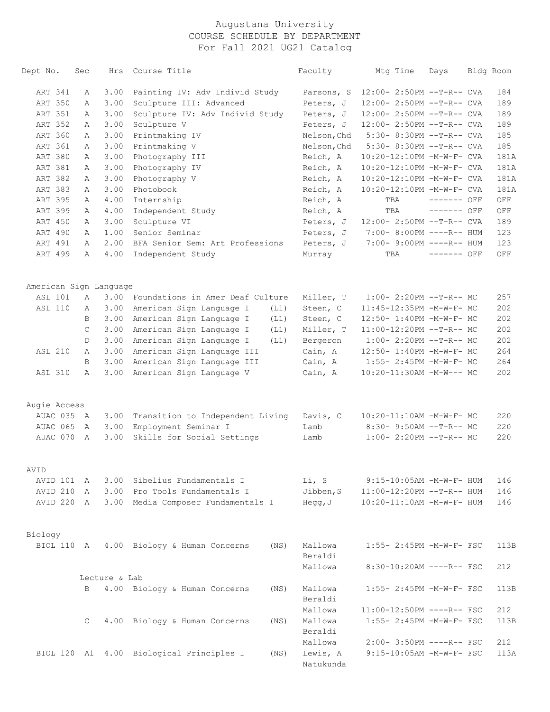| Dept No.               | Sec | Hrs           | Course Title                                     | Faculty               | Mtg Time                  | Days        | Bldg Room |
|------------------------|-----|---------------|--------------------------------------------------|-----------------------|---------------------------|-------------|-----------|
| ART 341                | А   | 3.00          | Painting IV: Adv Individ Study                   | Parsons, S            | 12:00- 2:50PM --T-R-- CVA |             | 184       |
| ART 350                | Α   | 3.00          | Sculpture III: Advanced                          | Peters, J             | 12:00- 2:50PM --T-R-- CVA |             | 189       |
| ART 351                | Α   | 3.00          | Sculpture IV: Adv Individ Study                  | Peters, J             | 12:00- 2:50PM --T-R-- CVA |             | 189       |
| ART 352                | Α   | 3.00          | Sculpture V                                      | Peters, J             | 12:00- 2:50PM --T-R-- CVA |             | 189       |
| ART 360                | Α   | 3.00          | Printmaking IV                                   | Nelson, Chd           | 5:30- 8:30PM --T-R-- CVA  |             | 185       |
| ART 361                | Α   | 3.00          | Printmaking V                                    | Nelson, Chd           | 5:30- 8:30PM --T-R-- CVA  |             | 185       |
| ART 380                | Α   | 3.00          | Photography III                                  | Reich, A              | 10:20-12:10PM -M-W-F- CVA |             | 181A      |
| ART 381                | Α   | 3.00          | Photography IV                                   | Reich, A              | 10:20-12:10PM -M-W-F- CVA |             | 181A      |
| ART 382                | Α   | 3.00          | Photography V                                    | Reich, A              | 10:20-12:10PM -M-W-F- CVA |             | 181A      |
| ART 383                | Α   | 3.00          | Photobook                                        | Reich, A              | 10:20-12:10PM -M-W-F- CVA |             | 181A      |
| ART 395                | Α   | 4.00          | Internship                                       | Reich, A              | TBA                       | ------- OFF | OFF       |
| ART 399                | Α   | 4.00          | Independent Study                                | Reich, A              | TBA                       | ------- OFF | OFF       |
| ART 450                | Α   | 3.00          | Sculpture VI                                     | Peters, J             | 12:00- 2:50PM --T-R-- CVA |             | 189       |
| ART 490                | Α   | 1.00          | Senior Seminar                                   | Peters, J             | 7:00- 8:00PM ----R-- HUM  |             | 123       |
| ART 491                | Α   | 2.00          | BFA Senior Sem: Art Professions                  | Peters, J             | 7:00- 9:00PM ----R-- HUM  |             | 123       |
| ART 499                | Α   | 4.00          | Independent Study                                | Murray                | TBA                       | ------- OFF | OFF       |
| American Sign Language |     |               |                                                  |                       |                           |             |           |
| <b>ASL 101</b>         | Α   | 3.00          | Foundations in Amer Deaf Culture                 | Miller, T             | $1:00-2:20PM -T-R--MC$    |             | 257       |
| <b>ASL 110</b>         | Α   | 3.00          | American Sign Language I<br>(L1)                 | Steen, C              | 11:45-12:35PM -M-W-F- MC  |             | 202       |
|                        | B   | 3.00          | American Sign Language I<br>(L1)                 | Steen, C              | 12:50- 1:40PM -M-W-F- MC  |             | 202       |
|                        | C   | 3.00          | American Sign Language I<br>(L1)                 | Miller, T             | 11:00-12:20PM --T-R-- MC  |             | 202       |
|                        | D   | 3.00          | American Sign Language I<br>(L1)                 | Bergeron              | $1:00-2:20PM -T-R--MC$    |             | 202       |
| <b>ASL 210</b>         | Α   | 3.00          | American Sign Language III                       | Cain, A               | 12:50- 1:40PM -M-W-F- MC  |             | 264       |
|                        | B.  | 3.00          | American Sign Language III                       | Cain, A               | 1:55- 2:45PM -M-W-F- MC   |             | 264       |
| <b>ASL 310</b>         | Α   | 3.00          | American Sign Language V                         | Cain, A               | 10:20-11:30AM -M-W--- MC  |             | 202       |
| Augie Access           |     |               |                                                  |                       |                           |             |           |
| AUAC 035 A             |     | 3.00          | Transition to Independent Living                 | Davis, C              | 10:20-11:10AM -M-W-F- MC  |             | 220       |
| AUAC 065               | A   | 3.00          | Employment Seminar I                             | Lamb                  | 8:30- 9:50AM --T-R-- MC   |             | 220       |
| AUAC 070 A             |     | 3.00          | Skills for Social Settings                       | Lamb                  | $1:00-2:20PM -T-R--MC$    |             | 220       |
| AVID                   |     |               |                                                  |                       |                           |             |           |
| AVID 101               | A   | 3.00          | Sibelius Fundamentals I                          | Li, S                 | 9:15-10:05AM -M-W-F- HUM  |             | 146       |
| AVID 210               | A   |               | 3.00 Pro Tools Fundamentals I                    | Jibben, S             | 11:00-12:20PM --T-R-- HUM |             | 146       |
| AVID 220 A             |     |               | 3.00 Media Composer Fundamentals I               | Hegg, J               | 10:20-11:10AM -M-W-F- HUM |             | 146       |
| Biology                |     |               |                                                  |                       |                           |             |           |
| BIOL 110 A             |     |               | 4.00 Biology & Human Concerns<br>(NS)            | Mallowa               | 1:55- 2:45PM -M-W-F- FSC  |             | 113B      |
|                        |     |               |                                                  | Beraldi               |                           |             |           |
|                        |     |               |                                                  | Mallowa               | 8:30-10:20AM ----R-- FSC  |             | 212       |
|                        |     | Lecture & Lab |                                                  |                       |                           |             |           |
|                        | B   |               | 4.00 Biology & Human Concerns<br>(NS)            | Mallowa<br>Beraldi    | 1:55- 2:45PM -M-W-F- FSC  |             | 113B      |
|                        |     |               |                                                  | Mallowa               | 11:00-12:50PM ----R-- FSC |             | 212       |
|                        | C   |               | 4.00 Biology & Human Concerns<br>(NS)            | Mallowa<br>Beraldi    | 1:55- 2:45PM -M-W-F- FSC  |             | 113B      |
|                        |     |               |                                                  | Mallowa               | 2:00- 3:50PM ----R-- FSC  |             | 212       |
|                        |     |               | BIOL 120 A1 4.00 Biological Principles I<br>(NS) | Lewis, A<br>Natukunda | 9:15-10:05AM -M-W-F- FSC  |             | 113A      |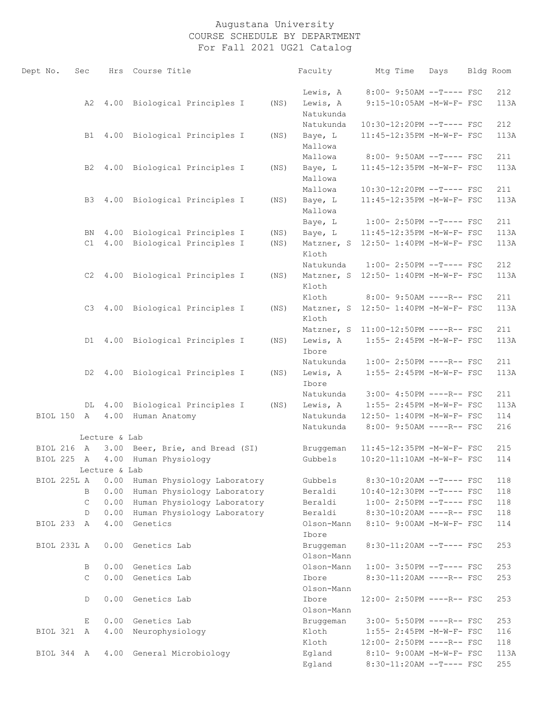| Dept No.    | Sec          |                |      | Hrs Course Title                 |      | Faculty                 | Mtg Time                             | Days | Bldg Room  |
|-------------|--------------|----------------|------|----------------------------------|------|-------------------------|--------------------------------------|------|------------|
|             |              |                |      |                                  |      | Lewis, A                | 8:00- 9:50AM --T---- FSC             |      | 212        |
|             |              | A2             |      | 4.00 Biological Principles I     | (NS) | Lewis, A<br>Natukunda   | 9:15-10:05AM -M-W-F- FSC             |      | 113A       |
|             |              |                |      |                                  |      | Natukunda               | 10:30-12:20PM --T---- FSC            |      | 212        |
|             |              | B1             |      | 4.00 Biological Principles I     | (NS) | Baye, L                 | 11:45-12:35PM -M-W-F- FSC            |      | 113A       |
|             |              |                |      |                                  |      | Mallowa                 |                                      |      |            |
|             |              |                |      |                                  |      | Mallowa                 | 8:00- 9:50AM --T---- FSC             |      | 211        |
|             |              | B2             |      | 4.00 Biological Principles I     | (NS) | Baye, L<br>Mallowa      | 11:45-12:35PM -M-W-F- FSC            |      | 113A       |
|             |              |                |      |                                  |      | Mallowa                 | 10:30-12:20PM --T---- FSC            |      | 211        |
|             |              | B3             |      | 4.00 Biological Principles I     | (NS) | Baye, L<br>Mallowa      | 11:45-12:35PM -M-W-F- FSC            |      | 113A       |
|             |              |                |      |                                  |      | Baye, L                 | $1:00-2:50PM$ --T---- FSC            |      | 211        |
|             |              | BN             |      | 4.00 Biological Principles I     | (NS) | Baye, L                 | 11:45-12:35PM -M-W-F- FSC            |      | 113A       |
|             |              | C1             |      | 4.00 Biological Principles I     | (NS) | Matzner, S<br>Kloth     | 12:50- 1:40PM -M-W-F- FSC            |      | 113A       |
|             |              |                |      |                                  |      | Natukunda               | $1:00-2:50PM$ --T---- FSC            |      | 212        |
|             |              |                |      | C2 4.00 Biological Principles I  | (NS) | Matzner, S<br>Kloth     | 12:50- 1:40PM -M-W-F- FSC            |      | 113A       |
|             |              |                |      |                                  |      | Kloth                   | 8:00- 9:50AM ----R-- FSC             |      | 211        |
|             |              | C <sub>3</sub> |      | 4.00 Biological Principles I     | (NS) | Matzner, S<br>Kloth     | 12:50- 1:40PM -M-W-F- FSC            |      | 113A       |
|             |              |                |      |                                  |      |                         | Matzner, S 11:00-12:50PM ----R-- FSC |      | 211        |
|             |              | D1             |      | 4.00 Biological Principles I     | (NS) | Lewis, A<br>Ibore       | 1:55- 2:45PM -M-W-F- FSC             |      | 113A       |
|             |              |                |      |                                  |      | Natukunda               | $1:00-2:50PM$ ----R-- FSC            |      | 211        |
|             |              | D2             |      | 4.00 Biological Principles I     | (NS) | Lewis, A<br>Ibore       | 1:55- 2:45PM -M-W-F- FSC             |      | 113A       |
|             |              |                |      |                                  |      | Natukunda               | 3:00- 4:50PM ----R-- FSC             |      | 211        |
|             |              | DL             |      | 4.00 Biological Principles I     | (NS) | Lewis, A                | 1:55- 2:45PM -M-W-F- FSC             |      | 113A       |
| BIOL 150 A  |              |                | 4.00 | Human Anatomy                    |      | Natukunda               | 12:50- 1:40PM -M-W-F- FSC            |      | 114        |
|             |              |                |      |                                  |      | Natukunda               | 8:00- 9:50AM ----R-- FSC             |      | 216        |
| BIOL 216 A  |              | Lecture & Lab  |      |                                  |      |                         | 11:45-12:35PM -M-W-F- FSC            |      |            |
| BIOL 225 A  |              |                |      | 3.00 Beer, Brie, and Bread (SI)  |      | Bruggeman<br>Gubbels    | 10:20-11:10AM -M-W-F- FSC            |      | 215<br>114 |
|             |              | Lecture & Lab  |      | 4.00 Human Physiology            |      |                         |                                      |      |            |
| BIOL 225L A |              |                | 0.00 | Human Physiology Laboratory      |      | Gubbels                 | $8:30-10:20AM$ --T---- FSC           |      | 118        |
|             | B            |                | 0.00 | Human Physiology Laboratory      |      | Beraldi                 | $10:40-12:30PM$ --T---- FSC          |      | 118        |
|             | $\mathsf{C}$ |                |      | 0.00 Human Physiology Laboratory |      | Beraldi                 | $1:00-2:50PM$ --T---- FSC            |      | 118        |
|             | D            |                | 0.00 | Human Physiology Laboratory      |      | Beraldi                 | 8:30-10:20AM ----R-- FSC             |      | 118        |
| BIOL 233 A  |              |                | 4.00 | Genetics                         |      | Olson-Mann<br>Ibore     | 8:10- 9:00AM -M-W-F- FSC             |      | 114        |
| BIOL 233L A |              |                |      | 0.00 Genetics Lab                |      | Bruggeman<br>Olson-Mann | 8:30-11:20AM --T---- FSC             |      | 253        |
|             | B            |                |      | 0.00 Genetics Lab                |      | Olson-Mann              | $1:00-3:50PM -T---FSC$               |      | 253        |
|             | $\mathsf{C}$ |                |      | 0.00 Genetics Lab                |      | Ibore<br>Olson-Mann     | $8:30-11:20AM$ ----R-- FSC           |      | 253        |
|             | D            |                |      | 0.00 Genetics Lab                |      | Ibore<br>Olson-Mann     | 12:00- 2:50PM ----R-- FSC            |      | 253        |
|             | Е            |                |      | 0.00 Genetics Lab                |      | Bruggeman               | 3:00- 5:50PM ----R-- FSC             |      | 253        |
| BIOL 321 A  |              |                | 4.00 | Neurophysiology                  |      | Kloth                   | 1:55- 2:45PM -M-W-F- FSC             |      | 116        |
|             |              |                |      |                                  |      | Kloth                   | 12:00- 2:50PM ----R-- FSC            |      | 118        |
| BIOL 344 A  |              |                |      | 4.00 General Microbiology        |      | Egland                  | 8:10- 9:00AM -M-W-F- FSC             |      | 113A       |
|             |              |                |      |                                  |      | Egland                  | 8:30-11:20AM --T---- FSC             |      | 255        |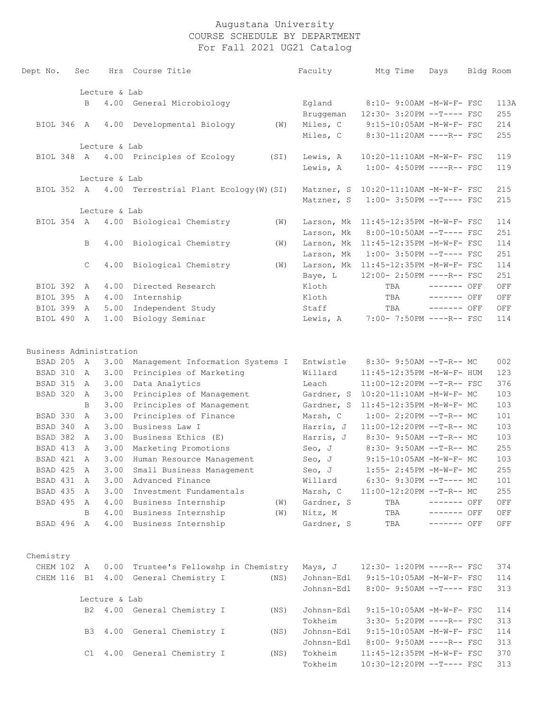| Dept No.                | Sec            | Hrs           | Course Title                                     |      | Faculty    | Mtg Time                             | Days         | Bldg Room |
|-------------------------|----------------|---------------|--------------------------------------------------|------|------------|--------------------------------------|--------------|-----------|
|                         |                | Lecture & Lab |                                                  |      |            |                                      |              |           |
|                         | B              | 4.00          | General Microbiology                             |      | Egland     | 8:10- 9:00AM -M-W-F- FSC             |              | 113A      |
|                         |                |               |                                                  |      | Bruggeman  | 12:30- 3:20PM --T---- FSC            |              | 255       |
| BIOL 346 A              |                | 4.00          | Developmental Biology                            | (W)  | Miles, C   | 9:15-10:05AM -M-W-F- FSC             |              | 214       |
|                         |                |               |                                                  |      | Miles, C   | 8:30-11:20AM ----R-- FSC             |              | 255       |
|                         |                | Lecture & Lab |                                                  |      |            |                                      |              |           |
| BIOL 348 A              |                |               | 4.00 Principles of Ecology                       | (SI) | Lewis, A   | 10:20-11:10AM -M-W-F- FSC            |              | 119       |
|                         |                |               |                                                  |      | Lewis, A   | $1:00-4:50PM$ ----R-- FSC            |              | 119       |
|                         |                | Lecture & Lab |                                                  |      |            |                                      |              |           |
| BIOL 352 A              |                |               | 4.00 Terrestrial Plant Ecology (W) (SI)          |      |            | Matzner, S 10:20-11:10AM -M-W-F- FSC |              | 215       |
|                         |                |               |                                                  |      | Matzner, S | $1:00-3:50PM --T---FSC$              |              | 215       |
|                         |                | Lecture & Lab |                                                  |      |            |                                      |              |           |
| BIOL 354 A              |                |               | 4.00 Biological Chemistry                        | (W)  |            | Larson, Mk 11:45-12:35PM -M-W-F- FSC |              | 114       |
|                         |                |               |                                                  |      | Larson, Mk | 8:00-10:50AM --T---- FSC             |              | 251       |
|                         | B              | 4.00          | Biological Chemistry                             | (W)  | Larson, Mk | 11:45-12:35PM -M-W-F- FSC            |              | 114       |
|                         |                |               |                                                  |      | Larson, Mk | $1:00-3:50PM -T---FSC$               |              | 251       |
|                         | $\mathsf{C}$   | 4.00          | Biological Chemistry                             | (W)  |            | Larson, Mk 11:45-12:35PM -M-W-F- FSC |              | 114       |
|                         |                |               |                                                  |      | Baye, L    | 12:00- 2:50PM ----R-- FSC            |              | 251       |
| BIOL 392 A              |                | 4.00          | Directed Research                                |      | Kloth      | TBA                                  | $------$ OFF | OFF       |
| BIOL 395                | A              | 4.00          | Internship                                       |      | Kloth      | TBA                                  | ------- OFF  | OFF       |
| BIOL 399                | A              | 5.00          | Independent Study                                |      | Staff      | TBA                                  | $------$ OFF | OFF       |
| BIOL 490                | A              | 1.00          | Biology Seminar                                  |      | Lewis, A   | 7:00- 7:50PM ----R-- FSC             |              | 114       |
| Business Administration |                |               |                                                  |      |            |                                      |              |           |
| BSAD 205                | $\mathbb{A}$   | 3.00          | Management Information Systems I                 |      | Entwistle  | 8:30- 9:50AM --T-R-- MC              |              | 002       |
| BSAD 310                | A              | 3.00          | Principles of Marketing                          |      | Willard    | 11:45-12:35PM -M-W-F- HUM            |              | 123       |
| BSAD 315                | A              | 3.00          | Data Analytics                                   |      | Leach      | 11:00-12:20PM --T-R-- FSC            |              | 376       |
| BSAD 320                | A              | 3.00          | Principles of Management                         |      | Gardner, S | 10:20-11:10AM -M-W-F- MC             |              | 103       |
|                         | B              | 3.00          | Principles of Management                         |      | Gardner, S | 11:45-12:35PM -M-W-F- MC             |              | 103       |
| BSAD 330                | A              | 3.00          | Principles of Finance                            |      | Marsh, C   | $1:00-2:20PM -T-R--MC$               |              | 101       |
| BSAD 340                | A              | 3.00          | Business Law I                                   |      | Harris, J  | 11:00-12:20PM --T-R-- MC             |              | 103       |
| BSAD 382                | A              | 3.00          | Business Ethics (E)                              |      | Harris, J  | 8:30- 9:50AM --T-R-- MC              |              | 103       |
| BSAD 413                | A              | 3.00          | Marketing Promotions                             |      | Seo, J     | $8:30 - 9:50AM -T-R-- MC$            |              | 255       |
| BSAD 421                | $\overline{A}$ | 3.00          | Human Resource Management                        |      | Seo, J     | 9:15-10:05AM -M-W-F- MC              |              | 103       |
| BSAD 425 A              |                | 3.00          | Small Business Management                        |      | Seo, J     | 1:55- 2:45PM -M-W-F- MC              |              | 255       |
| BSAD 431 A              |                | 3.00          | Advanced Finance                                 |      | Willard    | 6:30- 9:30PM --T---- MC              |              | 101       |
| BSAD 435 A              |                |               | 3.00 Investment Fundamentals                     |      |            | Marsh, C 11:00-12:20PM --T-R-- MC    |              | 255       |
| BSAD 495 A              |                |               | 4.00 Business Internship                         | (W)  | Gardner, S | TBA                                  | $------$ OFF | OFF       |
|                         |                | B             | 4.00 Business Internship                         | (W)  | Nitz, M    | TBA                                  | $------$ OFF | OFF       |
| BSAD 496 A              |                |               | 4.00 Business Internship                         |      | Gardner, S | TBA                                  | ------- OFF  | OFF       |
| Chemistry               |                |               |                                                  |      |            |                                      |              |           |
|                         |                |               | CHEM 102 A 0.00 Trustee's Fellowshp in Chemistry |      |            | Mays, J 12:30- 1:20PM ----R-- FSC    |              | 374       |
|                         |                |               | CHEM 116 B1 4.00 General Chemistry I             | (NS) |            | Johnsn-Edl 9:15-10:05AM -M-W-F- FSC  |              | 114       |
|                         |                |               |                                                  |      | Johnsn-Edl | 8:00- 9:50AM --T---- FSC             |              | 313       |
|                         |                | Lecture & Lab |                                                  |      |            |                                      |              |           |
|                         |                |               | B2 4.00 General Chemistry I                      | (NS) | Johnsn-Edl | 9:15-10:05AM -M-W-F- FSC             |              | 114       |
|                         |                |               |                                                  |      | Tokheim    | 3:30- 5:20PM ----R-- FSC             |              | 313       |
|                         |                |               | B3 4.00 General Chemistry I                      | (NS) |            | Johnsn-Edl 9:15-10:05AM -M-W-F- FSC  |              | 114       |
|                         |                |               |                                                  |      | Johnsn-Edl | $8:00-9:50AM$ ----R-- FSC            |              | 313       |
|                         |                |               | C1 4.00 General Chemistry I                      | (NS) | Tokheim    | 11:45-12:35PM -M-W-F- FSC            |              | 370       |
|                         |                |               |                                                  |      | Tokheim    | $10:30-12:20PM$ --T---- FSC          |              | 313       |
|                         |                |               |                                                  |      |            |                                      |              |           |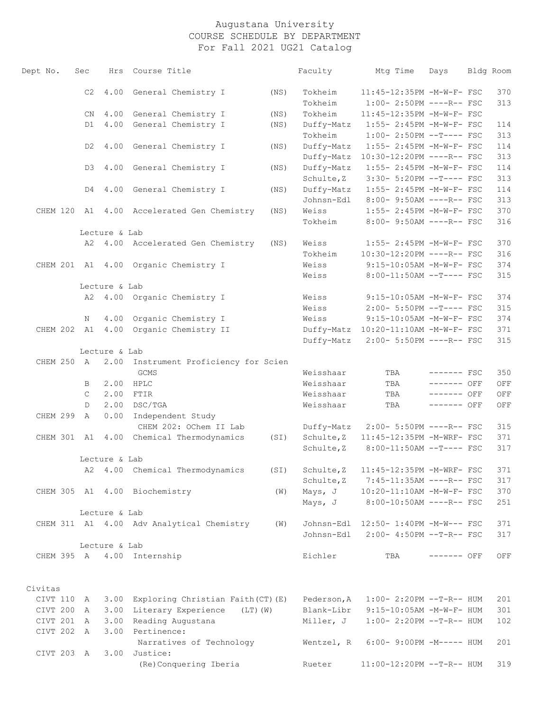| Dept No.   | Sec          | Hrs           | Course Title                               |      | Faculty     | Mtg Time                                | Days         | Bldg Room |
|------------|--------------|---------------|--------------------------------------------|------|-------------|-----------------------------------------|--------------|-----------|
|            | C2           | 4.00          | General Chemistry I                        | (NS) | Tokheim     | 11:45-12:35PM -M-W-F- FSC               |              | 370       |
|            |              |               |                                            |      | Tokheim     | $1:00-2:50PM$ ----R-- FSC               |              | 313       |
|            | CN.          |               | 4.00 General Chemistry I                   | (NS) | Tokheim     | 11:45-12:35PM -M-W-F- FSC               |              |           |
|            | D1           |               | 4.00 General Chemistry I                   | (NS) | Duffy-Matz  | 1:55- 2:45PM -M-W-F- FSC                |              | 114       |
|            |              |               |                                            |      | Tokheim     | $1:00-2:50PM$ --T---- FSC               |              | 313       |
|            | D2           | 4.00          | General Chemistry I                        | (NS) | Duffy-Matz  | 1:55- 2:45PM -M-W-F- FSC                |              | 114       |
|            |              |               |                                            |      | Duffy-Matz  | 10:30-12:20PM ----R-- FSC               |              | 313       |
|            | D3           |               | 4.00 General Chemistry I                   | (NS) | Duffy-Matz  | 1:55- 2:45PM -M-W-F- FSC                |              | 114       |
|            |              |               |                                            |      | Schulte, Z  | 3:30- 5:20PM --T---- FSC                |              | 313       |
|            | D4           |               | 4.00 General Chemistry I                   | (NS) | Duffy-Matz  | 1:55- 2:45PM -M-W-F- FSC                |              | 114       |
|            |              |               |                                            |      | Johnsn-Edl  | 8:00- 9:50AM ----R-- FSC                |              | 313       |
|            |              |               | CHEM 120 A1 4.00 Accelerated Gen Chemistry | (NS) | Weiss       | 1:55- 2:45PM -M-W-F- FSC                |              | 370       |
|            |              |               |                                            |      | Tokheim     | 8:00- 9:50AM ----R-- FSC                |              | 316       |
|            |              | Lecture & Lab |                                            |      |             |                                         |              |           |
|            |              |               | A2 4.00 Accelerated Gen Chemistry          | (NS) | Weiss       | 1:55- 2:45PM -M-W-F- FSC                |              | 370       |
|            |              |               |                                            |      | Tokheim     | 10:30-12:20PM ----R-- FSC               |              | 316       |
|            |              |               | CHEM 201 A1 4.00 Organic Chemistry I       |      | Weiss       | 9:15-10:05AM -M-W-F- FSC                |              | 374       |
|            |              |               |                                            |      | Weiss       | 8:00-11:50AM --T---- FSC                |              | 315       |
|            |              | Lecture & Lab |                                            |      |             |                                         |              |           |
|            |              |               | A2 4.00 Organic Chemistry I                |      | Weiss       | 9:15-10:05AM -M-W-F- FSC                |              | 374       |
|            |              |               |                                            |      | Weiss       | 2:00- 5:50PM --T---- FSC                |              | 315       |
|            | N            | 4.00          | Organic Chemistry I                        |      | Weiss       | 9:15-10:05AM -M-W-F- FSC                |              | 374       |
|            |              |               | CHEM 202 A1 4.00 Organic Chemistry II      |      |             | Duffy-Matz 10:20-11:10AM -M-W-F- FSC    |              | 371       |
|            |              |               |                                            |      | Duffy-Matz  | 2:00- 5:50PM ----R-- FSC                |              | 315       |
|            |              | Lecture & Lab |                                            |      |             |                                         |              |           |
| CHEM 250 A |              | 2.00          | Instrument Proficiency for Scien           |      |             |                                         |              |           |
|            |              |               | GCMS                                       |      | Weisshaar   | TBA                                     | $------$ FSC | 350       |
|            | B            | 2.00          | HPLC                                       |      | Weisshaar   | TBA                                     | ------- OFF  | OFF       |
|            | C            | 2.00          | FTIR                                       |      | Weisshaar   | TBA                                     | ------- OFF  | OFF       |
|            | D            | 2.00          | DSC/TGA                                    |      | Weisshaar   | TBA                                     | ------- OFF  | OFF       |
| CHEM 299   | $\mathbb{A}$ | 0.00          | Independent Study                          |      |             |                                         |              |           |
|            |              |               | CHEM 202: OChem II Lab                     |      | Duffy-Matz  | 2:00- 5:50PM ----R-- FSC                |              | 315       |
|            |              |               | CHEM 301 A1 4.00 Chemical Thermodynamics   | (SI) | Schulte, Z  | 11:45-12:35PM -M-WRF- FSC               |              | 371       |
|            |              |               |                                            |      | Schulte, Z  | 8:00-11:50AM --T---- FSC                |              | 317       |
|            |              | Lecture & Lab |                                            |      |             |                                         |              |           |
|            |              |               | A2 4.00 Chemical Thermodynamics            | (SI) |             | Schulte, Z    11:45-12:35PM -M-WRF- FSC |              | 371       |
|            |              |               |                                            |      | Schulte, Z  | 7:45-11:35AM ----R-- FSC                |              | 317       |
|            |              |               | CHEM 305 A1 4.00 Biochemistry              | (W)  | Mays, J     | 10:20-11:10AM -M-W-F- FSC               |              | 370       |
|            |              |               |                                            |      | Mays, J     | 8:00-10:50AM ----R-- FSC                |              | 251       |
|            |              | Lecture & Lab |                                            |      |             |                                         |              |           |
|            |              |               | CHEM 311 A1 4.00 Adv Analytical Chemistry  | (W)  |             | Johnsn-Edl  12:50- 1:40PM -M-W--- FSC   |              | 371       |
|            |              |               |                                            |      | Johnsn-Edl  | 2:00- 4:50PM --T-R-- FSC                |              | 317       |
|            |              | Lecture & Lab |                                            |      |             |                                         |              |           |
|            |              |               | CHEM 395 A 4.00 Internship                 |      | Eichler     | TBA                                     | $------$ OFF | OFF       |
|            |              |               |                                            |      |             |                                         |              |           |
|            |              |               |                                            |      |             |                                         |              |           |
| Civitas    |              |               |                                            |      |             |                                         |              |           |
| CIVT 110 A |              |               | 3.00 Exploring Christian Faith (CT) (E)    |      | Pederson, A | $1:00-2:20PM -T-R--HUM$                 |              | 201       |
| CIVT 200   | A            |               | 3.00 Literary Experience (LT) (W)          |      | Blank-Libr  | $9:15-10:05AM$ -M-W-F- HUM              |              | 301       |
| CIVT 201 A |              | 3.00          | Reading Augustana                          |      | Miller, J   | $1:00-2:20PM -T-R--HUM$                 |              | 102       |
| CIVT 202 A |              |               | 3.00 Pertinence:                           |      |             |                                         |              |           |
|            |              |               | Narratives of Technology                   |      | Wentzel, R  | 6:00- 9:00PM -M----- HUM                |              | 201       |
| CIVT 203 A |              |               | 3.00 Justice:                              |      |             |                                         |              |           |
|            |              |               | (Re)Conquering Iberia                      |      | Rueter      | 11:00-12:20PM --T-R-- HUM               |              | 319       |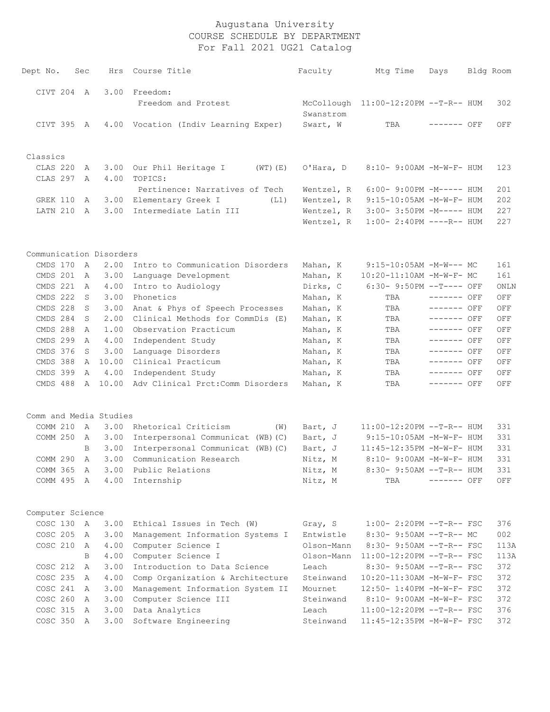| Dept No.                | sec          |    | Hrs          | Course Title                              | Faculty    | Mtg Time                    | Days         | Bldg Room |
|-------------------------|--------------|----|--------------|-------------------------------------------|------------|-----------------------------|--------------|-----------|
| CIVT 204 A              |              |    | 3.00         | Freedom:                                  |            |                             |              |           |
|                         |              |    |              | Freedom and Protest                       | McCollough | 11:00-12:20PM --T-R-- HUM   |              | 302       |
|                         |              |    |              |                                           | Swanstrom  |                             |              |           |
| CIVT 395 A              |              |    |              | 4.00 Vocation (Indiv Learning Exper)      | Swart, W   | TBA                         | $------$ OFF | OFF       |
|                         |              |    |              |                                           |            |                             |              |           |
| Classics                |              |    |              |                                           |            |                             |              |           |
| CLAS 220<br>CLAS 297    |              | A  | 3.00<br>4.00 | Our Phil Heritage I<br>$(WT)$ $(E)$       | O'Hara, D  | 8:10- 9:00AM -M-W-F- HUM    |              | 123       |
|                         |              | A  |              | TOPICS:<br>Pertinence: Narratives of Tech | Wentzel, R | $6:00-9:00PM -M-----$ HUM   |              | 201       |
| GREK 110                |              | A  | 3.00         | Elementary Greek I<br>(L1)                | Wentzel, R | $9:15-10:05AM - M-W-F- HUM$ |              | 202       |
| LATN 210                |              | A  | 3.00         | Intermediate Latin III                    | Wentzel, R | 3:00- 3:50PM -M----- HUM    |              | 227       |
|                         |              |    |              |                                           | Wentzel, R | $1:00-2:40PM$ ----R-- HUM   |              | 227       |
|                         |              |    |              |                                           |            |                             |              |           |
| Communication Disorders |              |    |              |                                           |            |                             |              |           |
| CMDS 170                | A            |    | 2.00         | Intro to Communication Disorders          | Mahan, K   | $9:15-10:05AM$ -M-W--- MC   |              | 161       |
| CMDS 201                | A            |    | 3.00         | Language Development                      | Mahan, K   | 10:20-11:10AM -M-W-F- MC    |              | 161       |
| CMDS 221                |              | A  | 4.00         | Intro to Audiology                        | Dirks, C   | 6:30- 9:50PM --T---- OFF    |              | ONLN      |
| CMDS 222                |              | S  | 3.00         | Phonetics                                 | Mahan, K   | TBA                         | $------$ OFF | OFF       |
| CMDS 228                |              | S  | 3.00         | Anat & Phys of Speech Processes           | Mahan, K   | TBA                         | ------- OFF  | OFF       |
| CMDS 284                |              | S  | 2.00         | Clinical Methods for CommDis (E)          | Mahan, K   | TBA                         | ------- OFF  | OFF       |
| CMDS 288                |              | Α  | 1.00         | Observation Practicum                     | Mahan, K   | TBA                         | ------- OFF  | OFF       |
| CMDS 299                |              | Α  | 4.00         | Independent Study                         | Mahan, K   | TBA                         | $-----$ OFF  | OFF       |
| CMDS 376                |              | S  | 3.00         | Language Disorders                        | Mahan, K   | TBA                         | $------$ OFF | OFF       |
| CMDS 388                |              | A  | 10.00        | Clinical Practicum                        | Mahan, K   | TBA                         | $------$ OFF | OFF       |
| CMDS 399                |              | Α  | 4.00         | Independent Study                         | Mahan, K   | TBA                         | ------- OFF  | OFF       |
| CMDS 488                |              |    | A 10.00      | Adv Clinical Prct: Comm Disorders         | Mahan, K   | TBA                         | ------- OFF  | OFF       |
| Comm and Media Studies  |              |    |              |                                           |            |                             |              |           |
| COMM 210                | A            |    | 3.00         | Rhetorical Criticism<br>(W)               | Bart, J    | $11:00-12:20PM$ --T-R-- HUM |              | 331       |
| COMM 250                |              | A  | 3.00         | Interpersonal Communicat (WB) (C)         | Bart, J    | $9:15-10:05AM - M-W-F- HUM$ |              | 331       |
|                         |              | B  | 3.00         | Interpersonal Communicat (WB) (C)         | Bart, J    | 11:45-12:35PM -M-W-F- HUM   |              | 331       |
| COMM 290                |              | Α  | 3.00         | Communication Research                    | Nitz, M    | 8:10- 9:00AM -M-W-F- HUM    |              | 331       |
| COMM 365                |              | Α  | 3.00         | Public Relations                          | Nitz, M    | 8:30- 9:50AM --T-R-- HUM    |              | 331       |
| COMM 495 A              |              |    | 4.00         | Internship                                | Nitz, M    | TBA                         | ------- OFF  | OFF       |
| Computer Science        |              |    |              |                                           |            |                             |              |           |
| COSC 130                | $\mathbb{A}$ |    | 3.00         | Ethical Issues in Tech (W)                | Gray, S    | $1:00-2:20PM -T-R--FSC$     |              | 376       |
| COSC 205                |              | Α  | 3.00         | Management Information Systems I          | Entwistle  | $8:30-9:50AM --T-R--MC$     |              | 002       |
| COSC 210                |              | A  | 4.00         | Computer Science I                        | Olson-Mann | $8:30 - 9:50AM -T-R--FSC$   |              | 113A      |
|                         |              | B. | 4.00         | Computer Science I                        | Olson-Mann | $11:00-12:20PM$ --T-R-- FSC |              | 113A      |
| COSC 212                |              | A  | 3.00         | Introduction to Data Science              | Leach      | $8:30 - 9:50AM -T-R--FSC$   |              | 372       |
| COSC 235                |              | A  | 4.00         | Comp Organization & Architecture          | Steinwand  | 10:20-11:30AM -M-W-F- FSC   |              | 372       |
| COSC 241                | A            |    | 3.00         | Management Information System II          | Mournet    | 12:50- 1:40PM -M-W-F- FSC   |              | 372       |
| COSC 260                |              | Α  | 3.00         | Computer Science III                      | Steinwand  | 8:10- 9:00AM -M-W-F- FSC    |              | 372       |
| COSC 315                |              | A  | 3.00         | Data Analytics                            | Leach      | 11:00-12:20PM --T-R-- FSC   |              | 376       |
| COSC 350                |              | A  | 3.00         | Software Engineering                      | Steinwand  | 11:45-12:35PM -M-W-F- FSC   |              | 372       |
|                         |              |    |              |                                           |            |                             |              |           |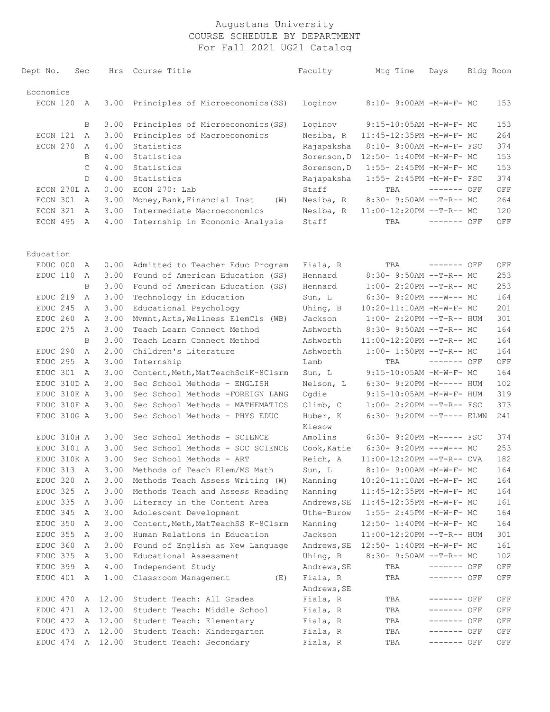| Dept No.            | Sec |              | Hrs              | Course Title                       | Faculty                 | Mtg Time                             | Days         | Bldg Room |
|---------------------|-----|--------------|------------------|------------------------------------|-------------------------|--------------------------------------|--------------|-----------|
| Economics           |     |              |                  |                                    |                         |                                      |              |           |
| ECON 120            |     | A            | 3.00             | Principles of Microeconomics (SS)  | Loginov                 | 8:10- 9:00AM -M-W-F- MC              |              | 153       |
|                     |     | В            | 3.00             | Principles of Microeconomics (SS)  | Loginov                 | 9:15-10:05AM -M-W-F- MC              |              | 153       |
| ECON 121            |     | A            | 3.00             | Principles of Macroeconomics       | Nesiba, R               | 11:45-12:35PM -M-W-F- MC             |              | 264       |
| ECON 270            |     | A            | 4.00             | Statistics                         | Rajapaksha              | 8:10- 9:00AM -M-W-F- FSC             |              | 374       |
|                     |     | B            | 4.00             | Statistics                         | Sorenson, D             | 12:50- 1:40PM -M-W-F- MC             |              | 153       |
|                     |     | $\mathsf{C}$ | 4.00             | Statistics                         | Sorenson, D             | 1:55- 2:45PM -M-W-F- MC              |              | 153       |
|                     |     | D            | 4.00             | Statistics                         | Rajapaksha              | 1:55- 2:45PM -M-W-F- FSC             |              | 374       |
| ECON 270L A         |     |              | 0.00             | ECON 270: Lab                      | Staff                   | TBA                                  | $------$ OFF | OFF       |
| ECON 301            |     | A            | 3.00             | Money, Bank, Financial Inst<br>(W) | Nesiba, R               | 8:30- 9:50AM --T-R-- MC              |              | 264       |
| ECON 321            |     | A            | 3.00             | Intermediate Macroeconomics        | Nesiba, R               | 11:00-12:20PM --T-R-- MC             |              | 120       |
| ECON 495 A          |     |              | 4.00             | Internship in Economic Analysis    | Staff                   | TBA                                  | ------- OFF  | OFF       |
| Education           |     |              |                  |                                    |                         |                                      |              |           |
| EDUC 000            |     | A            | 0.00             | Admitted to Teacher Educ Program   | Fiala, R                | TBA                                  | ------- OFF  | OFF       |
| EDUC 110            |     | A            | 3.00             | Found of American Education (SS)   | Hennard                 | 8:30- 9:50AM --T-R-- MC              |              | 253       |
|                     |     | B            | 3.00             | Found of American Education (SS)   | Hennard                 | $1:00-2:20PM -T-R--MC$               |              | 253       |
| EDUC 219            |     | A            | 3.00             | Technology in Education            | Sun, L                  | $6:30 - 9:20PM$ ---W--- MC           |              | 164       |
| EDUC 245            |     | A            | 3.00             | Educational Psychology             | Uhing, B                | 10:20-11:10AM -M-W-F- MC             |              | 201       |
| EDUC 260            |     | A            | 3.00             | Mvmnt, Arts, Wellness ElemCls (WB) | Jackson                 | $1:00-2:20PM -T-R--HUM$              |              | 301       |
| EDUC <sub>275</sub> |     | A            | 3.00             | Teach Learn Connect Method         | Ashworth                | 8:30- 9:50AM --T-R-- MC              |              | 164       |
|                     |     | B            | 3.00             | Teach Learn Connect Method         | Ashworth                | 11:00-12:20PM --T-R-- MC             |              | 164       |
| EDUC 290            |     | A            | 2.00             | Children's Literature              | Ashworth                | $1:00-1:50PM$ --T-R-- MC             |              | 164       |
| EDUC 295            |     | A            | 3.00             | Internship                         | Lamb                    | TBA                                  | $------$ OFF | OFF       |
| EDUC 301            |     | A            | 3.00             | Content, Meth, MatTeachSciK-8Clsrm | Sun, L                  | 9:15-10:05AM -M-W-F- MC              |              | 164       |
| EDUC 310D A         |     |              | 3.00             | Sec School Methods - ENGLISH       | Nelson, L               | 6:30- 9:20PM -M----- HUM             |              | 102       |
| EDUC 310E A         |     |              | 3.00             | Sec School Methods - FOREIGN LANG  | Oqdie                   | 9:15-10:05AM -M-W-F- HUM             |              | 319       |
| EDUC 310F A         |     |              | 3.00             | Sec School Methods - MATHEMATICS   | Olimb, C                | 1:00- 2:20PM --T-R-- FSC             |              | 373       |
| EDUC 310G A         |     |              | 3.00             | Sec School Methods - PHYS EDUC     | Huber, K<br>Kiesow      | 6:30- 9:20PM --T---- ELMN            |              | 241       |
| EDUC 310H A         |     |              | 3.00             | Sec School Methods - SCIENCE       | Amolins                 | 6:30- 9:20PM -M----- FSC             |              | 374       |
| EDUC 310I A         |     |              | 3.00             | Sec School Methods - SOC SCIENCE   | Cook, Katie             | $6:30-9:20PM$ ---W--- MC             |              | 253       |
| EDUC 310K A         |     |              | 3.00             | Sec School Methods - ART           | Reich, A                | 11:00-12:20PM --T-R-- CVA            |              | 182       |
| EDUC 313 A          |     |              |                  | 3.00 Methods of Teach Elem/MS Math | Sun, L                  | 8:10- 9:00AM -M-W-F- MC              |              | 164       |
| EDUC 320            | A   |              | 3.00             | Methods Teach Assess Writing (W)   | Manning                 | 10:20-11:10AM -M-W-F- MC             |              | 164       |
| EDUC 325 A          |     |              | 3.00             | Methods Teach and Assess Reading   | Manning                 | 11:45-12:35PM -M-W-F- MC             |              | 164       |
| EDUC 335 A          |     |              | 3.00             | Literacy in the Content Area       | Andrews, SE             | 11:45-12:35PM -M-W-F- MC             |              | 161       |
| EDUC 345 A          |     |              | 3.00             | Adolescent Development             | Uthe-Burow              | $1:55-2:45PM -M-W-F-MC$              |              | 164       |
| EDUC 350            | A   |              | 3.00             | Content, Meth, MatTeachSS K-8Clsrm | Manning                 | 12:50- 1:40PM -M-W-F- MC             |              | 164       |
| EDUC 355 A          |     |              | 3.00             | Human Relations in Education       | Jackson                 | 11:00-12:20PM --T-R-- HUM            |              | 301       |
| EDUC 360            | A   |              | 3.00             | Found of English as New Language   |                         | Andrews, SE 12:50- 1:40PM -M-W-F- MC |              | 161       |
| EDUC 375 A          |     |              | 3.00             | Educational Assessment             | Uhing, B                | $8:30 - 9:50AM -T-R-- MC$            |              | 102       |
| EDUC 399 A          |     |              | 4.00             | Independent Study                  | Andrews, SE             | TBA                                  | ------- OFF  | OFF       |
| EDUC 401            | A   |              | 1.00             | Classroom Management<br>(E)        | Fiala, R<br>Andrews, SE | TBA                                  | ------- OFF  | OFF       |
| EDUC 470            |     |              | A 12.00          | Student Teach: All Grades          | Fiala, R                | TBA                                  | ------- OFF  | OFF       |
| EDUC 471 A 12.00    |     |              |                  | Student Teach: Middle School       | Fiala, R                | TBA                                  | ------- OFF  | OFF       |
|                     |     |              | EDUC 472 A 12.00 | Student Teach: Elementary          | Fiala, R                | TBA                                  | ------- OFF  | OFF       |
|                     |     |              | EDUC 473 A 12.00 | Student Teach: Kindergarten        | Fiala, R                | TBA                                  | ------- OFF  | OFF       |
| EDUC 474 A 12.00    |     |              |                  | Student Teach: Secondary           | Fiala, R                | TBA                                  | ------- OFF  | OFF       |
|                     |     |              |                  |                                    |                         |                                      |              |           |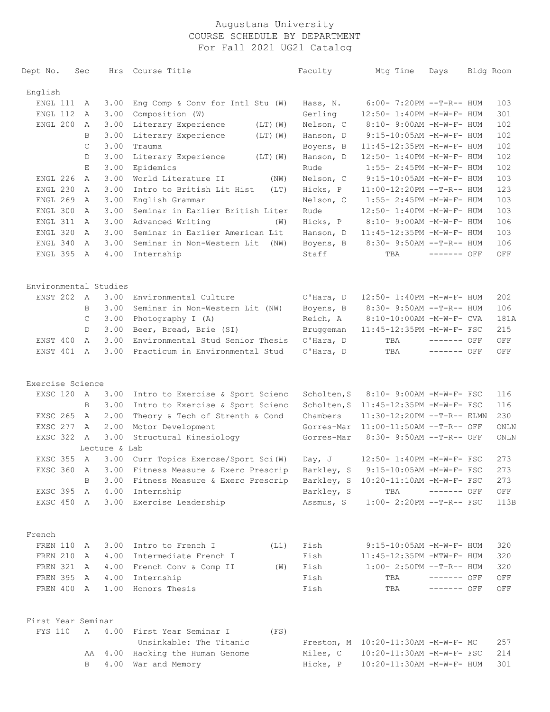| Dept No.                            | Sec          |               | Hrs Course Title                                                                     | Faculty                | Mtg Time                                                | Days         | Bldg Room |
|-------------------------------------|--------------|---------------|--------------------------------------------------------------------------------------|------------------------|---------------------------------------------------------|--------------|-----------|
| English                             |              |               |                                                                                      |                        |                                                         |              |           |
| ENGL 111                            | A            | 3.00          | Eng Comp & Conv for Intl Stu (W)                                                     | Hass, N.               | $6:00-7:20PM -T-R--HUM$                                 |              | 103       |
| ENGL 112                            | A            | 3.00          | Composition (W)                                                                      | Gerling                | 12:50- 1:40PM -M-W-F- HUM                               |              | 301       |
| ENGL 200                            | A            | 3.00          | Literary Experience<br>$(LT)$ $(W)$                                                  | Nelson, C              | 8:10- 9:00AM -M-W-F- HUM                                |              | 102       |
|                                     | B            | 3.00          | Literary Experience<br>$(LT)$ $(W)$                                                  | Hanson, D              | $9:15-10:05AM - M-W-F- HUM$                             |              | 102       |
|                                     | $\mathsf{C}$ | 3.00          | Trauma                                                                               | Boyens, B              | 11:45-12:35PM -M-W-F- HUM                               |              | 102       |
|                                     | D            | 3.00          | Literary Experience<br>$(LT)$ $(W)$                                                  | Hanson, D              | 12:50- 1:40PM -M-W-F- HUM                               |              | 102       |
|                                     | Е            | 3.00          | Epidemics                                                                            | Rude                   | $1:55 - 2:45PM - M - W - F - HUM$                       |              | 102       |
| ENGL 226                            | $\mathbb{A}$ | 3.00          | World Literature II<br>(NW)                                                          | Nelson, C              | $9:15-10:05AM - M-W-F- HUM$                             |              | 103       |
| ENGL 230                            | A            | 3.00          | Intro to British Lit Hist<br>(LT)                                                    | Hicks, P               | 11:00-12:20PM --T-R-- HUM                               |              | 123       |
| ENGL 269                            | $\mathbb{A}$ | 3.00          | English Grammar                                                                      | Nelson, C              | $1:55 - 2:45PM - M - W - F - HUM$                       |              | 103       |
| ENGL 300                            | A            | 3.00          | Seminar in Earlier British Liter                                                     | Rude                   | 12:50- 1:40PM -M-W-F- HUM                               |              | 103       |
| ENGL 311                            | A            | 3.00          | Advanced Writing<br>(W)                                                              | Hicks, P               | 8:10- 9:00AM -M-W-F- HUM                                |              | 106       |
| ENGL 320                            | A            | 3.00          | Seminar in Earlier American Lit                                                      | Hanson, D              | 11:45-12:35PM -M-W-F- HUM                               |              | 103       |
| ENGL 340                            | A            | 3.00          | Seminar in Non-Western Lit<br>(NW)                                                   | Boyens, B              | 8:30- 9:50AM --T-R-- HUM                                |              | 106       |
| ENGL 395                            | A            | 4.00          | Internship                                                                           | Staff                  | TBA                                                     | $------$ OFF | OFF       |
|                                     |              |               |                                                                                      |                        |                                                         |              |           |
| Environmental Studies<br>ENST 202 A |              | 3.00          | Environmental Culture                                                                |                        |                                                         |              | 202       |
|                                     | B            | 3.00          | Seminar in Non-Western Lit (NW)                                                      | O'Hara, D<br>Boyens, B | 12:50- 1:40PM -M-W-F- HUM<br>$8:30 - 9:50AM -T-R-- HUM$ |              | 106       |
|                                     | C            | 3.00          | Photography I (A)                                                                    | Reich, A               | 8:10-10:00AM -M-W-F- CVA                                |              | 181A      |
|                                     | D            | 3.00          | Beer, Bread, Brie (SI)                                                               | Bruggeman              | 11:45-12:35PM -M-W-F- FSC                               |              | 215       |
| ENST 400                            | A            | 3.00          | Environmental Stud Senior Thesis                                                     | O'Hara, D              | TBA                                                     | ------- OFF  | OFF       |
| ENST 401                            | A            | 3.00          | Practicum in Environmental Stud                                                      | O'Hara, D              | TBA                                                     | $------$ OFF | OFF       |
|                                     |              |               |                                                                                      |                        |                                                         |              |           |
| Exercise Science                    |              |               |                                                                                      |                        |                                                         |              |           |
| EXSC 120 A                          |              | 3.00          | Intro to Exercise & Sport Scienc                                                     | Scholten, S            | 8:10- 9:00AM -M-W-F- FSC                                |              | 116       |
|                                     | B            | 3.00          | Intro to Exercise & Sport Scienc                                                     | Scholten, S            | 11:45-12:35PM -M-W-F- FSC                               |              | 116       |
| EXSC 265                            | A            | 2.00          | Theory & Tech of Strenth & Cond                                                      | Chambers               | 11:30-12:20PM --T-R-- ELMN                              |              | 230       |
| EXSC 277                            | A            | 2.00          | Motor Development                                                                    | Gorres-Mar             | $11:00-11:50AM$ --T-R-- OFF                             |              | ONLN      |
| EXSC 322 A                          |              | 3.00          | Structural Kinesiology                                                               | Gorres-Mar             | 8:30- 9:50AM --T-R-- OFF                                |              | ONLN      |
|                                     |              | Lecture & Lab |                                                                                      |                        |                                                         |              |           |
| EXSC 355 A                          |              | 3.00          | Curr Topics Exercse/Sport Sci(W)                                                     | Day, J                 | 12:50- 1:40PM -M-W-F- FSC                               |              | 273       |
|                                     |              |               | EXSC 360 A 3.00 Fitness Measure & Exerc Prescrip Barkley, S 9:15-10:05AM -M-W-F- FSC |                        |                                                         |              | 273       |
|                                     | В            |               | 3.00 Fitness Measure & Exerc Prescrip Barkley, S 10:20-11:10AM -M-W-F- FSC           |                        |                                                         |              | 273       |
| EXSC 395 A                          |              |               | 4.00 Internship                                                                      | Barkley, S             | TBA ------- OFF                                         |              | OFF       |
|                                     |              |               | EXSC 450 A 3.00 Exercise Leadership                                                  | Assmus, S              | $1:00-2:20PM -T-R--FSC$                                 |              | 113B      |
| French                              |              |               |                                                                                      |                        |                                                         |              |           |
| FREN 110                            | A            |               | 3.00 Intro to French I<br>(L1)                                                       | Fish                   | $9:15-10:05AM - M-W-F- HUM$                             |              | 320       |
| FREN 210                            | A            |               | 4.00 Intermediate French I                                                           | Fish                   | 11:45-12:35PM -MTW-F- HUM                               |              | 320       |
| FREN 321 A                          |              |               | 4.00 French Conv & Comp II<br>(W)                                                    | Fish                   | $1:00-2:50PM -T-R--HUM$                                 |              | 320       |
| FREN 395 A                          |              |               | 4.00 Internship                                                                      | Fish                   | TBA                                                     | $------$ OFF | OFF       |
| FREN 400 A                          |              |               | 1.00 Honors Thesis                                                                   | Fish                   | TBA                                                     | ------- OFF  | OFF       |
| First Year Seminar                  |              |               |                                                                                      |                        |                                                         |              |           |
| FYS 110                             | $\mathbb A$  |               | 4.00 First Year Seminar I<br>(FS)                                                    |                        |                                                         |              |           |
|                                     |              |               | Unsinkable: The Titanic                                                              |                        | Preston, M 10:20-11:30AM -M-W-F- MC                     |              | 257       |
|                                     |              |               | AA 4.00 Hacking the Human Genome                                                     | Miles, C               | 10:20-11:30AM -M-W-F- FSC                               |              | 214       |
|                                     | B            |               | 4.00 War and Memory                                                                  | Hicks, P               | 10:20-11:30AM -M-W-F- HUM                               |              | 301       |
|                                     |              |               |                                                                                      |                        |                                                         |              |           |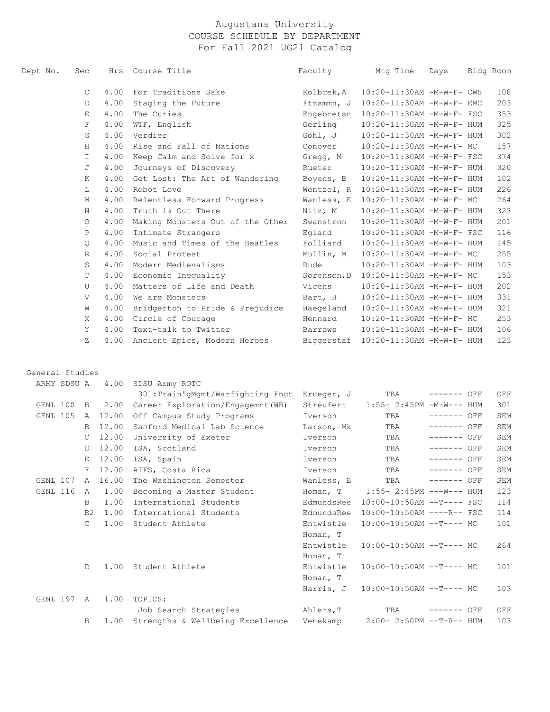| Dept No. | Sec          |      | Hrs Course Title                 | Faculty     | Mtq Time                             | Days | Bldg Room |     |
|----------|--------------|------|----------------------------------|-------------|--------------------------------------|------|-----------|-----|
|          | $\mathsf{C}$ | 4.00 | For Traditions Sake              | Kolbrek, A  | 10:20-11:30AM -M-W-F- CWS            |      |           | 108 |
|          | D            | 4.00 | Staging the Future               | Ftzsmmn, J  | 10:20-11:30AM -M-W-F- EMC            |      |           | 203 |
|          | E            | 4.00 | The Curies                       |             | Engebretsn 10:20-11:30AM -M-W-F- FSC |      |           | 353 |
|          | $\mathbf F$  | 4.00 | WTF, English                     | Gerling     | 10:20-11:30AM -M-W-F- HUM            |      |           | 325 |
|          | G            | 4.00 | Verdier                          | Gohl, J     | 10:20-11:30AM -M-W-F- HUM            |      |           | 302 |
|          | H            | 4.00 | Rise and Fall of Nations         | Conover     | 10:20-11:30AM -M-W-F- MC             |      |           | 157 |
|          | $\mathbb{I}$ | 4.00 | Keep Calm and Solve for x        | Gregg, M    | 10:20-11:30AM -M-W-F- FSC            |      |           | 374 |
|          | J            | 4.00 | Journeys of Discovery            | Rueter      | 10:20-11:30AM -M-W-F- HUM            |      |           | 320 |
|          | K            | 4.00 | Get Lost: The Art of Wandering   | Boyens, B   | 10:20-11:30AM -M-W-F- HUM            |      |           | 102 |
|          | L            | 4.00 | Robot Love                       |             | Wentzel, R 10:20-11:30AM -M-W-F- HUM |      |           | 226 |
|          | M            | 4.00 | Relentless Forward Progress      | Wanless, E  | 10:20-11:30AM -M-W-F- MC             |      |           | 264 |
|          | N            | 4.00 | Truth is Out There               | Nitz, M     | 10:20-11:30AM -M-W-F- HUM            |      |           | 323 |
|          | $\circ$      | 4.00 | Making Monsters Out of the Other | Swanstrom   | 10:20-11:30AM -M-W-F- HUM            |      |           | 201 |
|          | $\mathbf{P}$ | 4.00 | Intimate Strangers               | Eqland      | 10:20-11:30AM -M-W-F- FSC            |      |           | 116 |
|          | $\circ$      | 4.00 | Music and Times of the Beatles   | Folliard    | 10:20-11:30AM -M-W-F- HUM            |      |           | 145 |
|          | R            | 4.00 | Social Protest                   | Mullin, M   | 10:20-11:30AM -M-W-F- MC             |      |           | 255 |
|          | S            | 4.00 | Modern Medievalisms              | Rude        | 10:20-11:30AM -M-W-F- HUM            |      |           | 103 |
|          | T            | 4.00 | Economic Inequality              | Sorenson, D | 10:20-11:30AM -M-W-F- MC             |      |           | 153 |
|          | U            | 4.00 | Matters of Life and Death        | Vicens      | 10:20-11:30AM -M-W-F- HUM            |      |           | 202 |
|          | V            | 4.00 | We are Monsters                  | Bart, H     | 10:20-11:30AM -M-W-F- HUM            |      |           | 331 |
|          | W            | 4.00 | Bridgerton to Pride & Prejudice  | Haegeland   | 10:20-11:30AM -M-W-F- HUM            |      |           | 321 |
|          | X            | 4.00 | Circle of Courage                | Hennard     | 10:20-11:30AM -M-W-F- MC             |      |           | 253 |
|          | Y            | 4.00 | Text-talk to Twitter             | Barrows     | 10:20-11:30AM -M-W-F- HUM            |      |           | 106 |
|          | $Z_{\rm}$    | 4.00 | Ancient Epics, Modern Heroes     | Biggerstaf  | 10:20-11:30AM -M-W-F- HUM            |      |           | 123 |

#### General Studies

|          | ARMY SDSU A |                | 4.00  | SDSU Army ROTC                    |            |                             |              |     |
|----------|-------------|----------------|-------|-----------------------------------|------------|-----------------------------|--------------|-----|
|          |             |                |       | 301:Train'qMqmt/Warfighting Fnct  | Krueger, J | TBA                         | $------$ OFF | OFF |
| GENL 100 |             | $\mathbf{B}$   | 2.00  | Career Exploration/Engagemnt (WB) | Streufert  | $1:55 - 2:45PM -M-W--- HUM$ |              | 301 |
| GENL 105 |             | A              | 12.00 | Off Campus Study Programs         | Iverson    | TBA                         | $------$ OFF | SEM |
|          |             | B.             | 12.00 | Sanford Medical Lab Science       | Larson, Mk | TBA                         | $------$ OFF | SEM |
|          |             | $\mathsf{C}$   | 12.00 | University of Exeter              | Iverson    | TBA                         | $------$ OFF | SEM |
|          |             | D              | 12.00 | ISA, Scotland                     | Iverson    | TBA                         | $------$ OFF | SEM |
|          |             | E              | 12.00 | ISA, Spain                        | Iverson    | TBA                         | $------$ OFF | SEM |
|          |             | F              | 12.00 | AIFS, Costa Rica                  | Iverson    | TBA                         | $-----$ OFF  | SEM |
| GENL 107 |             | $\mathsf{A}$   | 16.00 | The Washington Semester           | Wanless, E | TBA                         | $------$ OFF | SEM |
| GENL 116 |             | A              | 1.00  | Becoming a Master Student         | Homan, T   | $1:55 - 2:45PM$ ---W--- HUM |              | 123 |
|          |             | B.             | 1.00  | International Students            | EdmundsRee | $10:00-10:50AM$ --T---- FSC |              | 114 |
|          |             | B <sub>2</sub> | 1.00  | International Students            | EdmundsRee | 10:00-10:50AM ----R-- FSC   |              | 114 |
|          |             | $\mathsf{C}$   | 1.00  | Student Athlete                   | Entwistle  | $10:00-10:50AM$ --T---- MC  |              | 101 |
|          |             |                |       |                                   | Homan, T   |                             |              |     |
|          |             |                |       |                                   | Entwistle  | $10:00-10:50AM$ --T---- MC  |              | 264 |
|          |             |                |       |                                   | Homan, T   |                             |              |     |
|          |             | D              | 1.00  | Student Athlete                   | Entwistle  | $10:00-10:50AM$ --T---- MC  |              | 101 |
|          |             |                |       |                                   | Homan, T   |                             |              |     |
|          |             |                |       |                                   | Harris, J  | $10:00-10:50AM$ --T---- MC  |              | 103 |
| GENL 197 |             | $\mathsf{A}$   | 1.00  | TOPICS:                           |            |                             |              |     |
|          |             |                |       | Job Search Strategies             | Ahlers, T  | TBA                         | ------- OFF  | OFF |
|          |             | B              | 1.00  | Strengths & Wellbeing Excellence  | Venekamp   | 2:00- 2:50PM --T-R-- HUM    |              | 103 |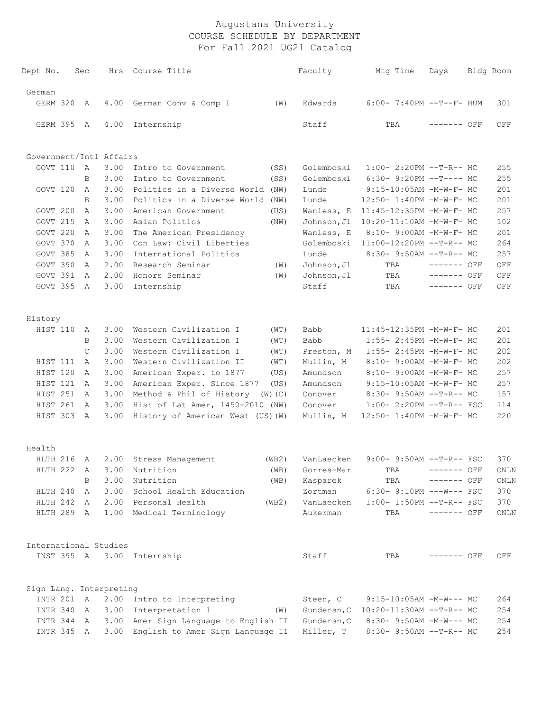| Dept No.                | Sec |              | Hrs  | Course Title                          |       | Faculty     | Mtg Time                             | Days         | Bldg Room |
|-------------------------|-----|--------------|------|---------------------------------------|-------|-------------|--------------------------------------|--------------|-----------|
| German                  |     |              |      |                                       |       |             |                                      |              |           |
| GERM 320                |     | A            | 4.00 | German Conv & Comp I                  | (W)   | Edwards     | $6:00 - 7:40PM -T--F- HUM$           |              | 301       |
| GERM 395 A              |     |              | 4.00 | Internship                            |       | Staff       | TBA                                  | $------$ OFF | OFF       |
| Government/Intl Affairs |     |              |      |                                       |       |             |                                      |              |           |
| GOVT 110                |     | A            | 3.00 | Intro to Government                   | (SS)  | Golemboski  | $1:00-2:20PM -T-R--MC$               |              | 255       |
|                         |     | B            | 3.00 | Intro to Government                   | (SS)  | Golemboski  | $6:30-9:20PM -T--- MC$               |              | 255       |
| GOVT 120                |     | $\mathbb{A}$ | 3.00 | Politics in a Diverse World (NW)      |       | Lunde       | 9:15-10:05AM -M-W-F- MC              |              | 201       |
|                         |     | B            | 3.00 | Politics in a Diverse World           | (NW)  | Lunde       | 12:50- 1:40PM -M-W-F- MC             |              | 201       |
| GOVT 200                |     | A            | 3.00 | American Government                   | (US)  | Wanless, E  | 11:45-12:35PM -M-W-F- MC             |              | 257       |
| GOVT 215                |     | A            | 3.00 | Asian Politics                        | (NW)  | Johnson, Jl | 10:20-11:10AM -M-W-F- MC             |              | 102       |
| GOVT 220                |     | A            | 3.00 | The American Presidency               |       | Wanless, E  | 8:10- 9:00AM -M-W-F- MC              |              | 201       |
| GOVT 370                |     | A            | 3.00 | Con Law: Civil Liberties              |       | Golemboski  | 11:00-12:20PM --T-R-- MC             |              | 264       |
| GOVT 385                |     | A            | 3.00 | International Politics                |       | Lunde       | $8:30 - 9:50AM -T-R-- MC$            |              | 257       |
| GOVT 390                |     | A            | 2.00 | Research Seminar                      | (W)   | Johnson, Jl | TBA                                  | $------$ OFF | OFF       |
| GOVT 391                |     | A            | 2.00 | Honors Seminar                        | (W)   | Johnson, Jl | TBA                                  | $------$ OFF | OFF       |
| GOVT 395                |     | A            | 3.00 | Internship                            |       | Staff       | TBA                                  | $------$ OFF | OFF       |
|                         |     |              |      |                                       |       |             |                                      |              |           |
| History                 |     |              |      |                                       |       |             |                                      |              |           |
| HIST 110                |     | A            | 3.00 | Western Civilization I                | (WT)  | Babb        | 11:45-12:35PM -M-W-F- MC             |              | 201       |
|                         |     | B            | 3.00 | Western Civilization I                | (WT)  | Babb        | 1:55- 2:45PM -M-W-F- MC              |              | 201       |
|                         |     | C            | 3.00 | Western Civilization I                | (WT)  | Preston, M  | 1:55- 2:45PM -M-W-F- MC              |              | 202       |
| HIST 111                |     | A            | 3.00 | Western Civilization II               | (WT)  | Mullin, M   | 8:10- 9:00AM -M-W-F- MC              |              | 202       |
| HIST 120                |     | Α            | 3.00 | American Exper. to 1877               | (US)  | Amundson    | 8:10- 9:00AM -M-W-F- MC              |              | 257       |
| HIST 121                |     | A            | 3.00 | American Exper. Since 1877            | (US)  | Amundson    | 9:15-10:05AM -M-W-F- MC              |              | 257       |
| HIST 251                |     | A            | 3.00 | Method & Phil of History (W) (C)      |       | Conover     | 8:30- 9:50AM --T-R-- MC              |              | 157       |
| HIST 261                |     | A            | 3.00 | Hist of Lat Amer, 1450-2010 (NW)      |       | Conover     | 1:00- 2:20PM --T-R-- FSC             |              | 114       |
| HIST 303                | A   |              | 3.00 | History of American West (US) (W)     |       | Mullin, M   | 12:50- 1:40PM -M-W-F- MC             |              | 220       |
| Health                  |     |              |      |                                       |       |             |                                      |              |           |
| HLTH 216 A              |     |              |      | 2.00 Stress Management                | (WB2) | VanLaecken  | $9:00 - 9:50AM -T-R--FSC$            |              | 370       |
|                         |     |              |      | HLTH 222 A 3.00 Nutrition             | (WB)  | Gorres-Mar  | TBA                                  | ------- OFF  | ONLN      |
|                         |     | В            | 3.00 | Nutrition                             | (WB)  | Kasparek    | TBA                                  | ------- OFF  | ONLN      |
| HLTH 240 A              |     |              |      | 3.00 School Health Education          |       | Zortman     | $6:30-9:10PM$ ---W--- FSC            |              | 370       |
| HLTH 242 A              |     |              |      | 2.00 Personal Health                  | (WB2) | VanLaecken  | $1:00-1:50PM -T-R--FSC$              |              | 370       |
| HLTH 289 A              |     |              |      | 1.00 Medical Terminology              |       | Aukerman    | TBA                                  | $------$ OFF | ONLN      |
| International Studies   |     |              |      |                                       |       |             |                                      |              |           |
|                         |     |              |      | INST 395 A 3.00 Internship            |       | Staff       | TBA                                  | ------- OFF  | OFF       |
|                         |     |              |      |                                       |       |             |                                      |              |           |
| Sign Lang. Interpreting |     |              |      |                                       |       |             |                                      |              |           |
| INTR 201 A              |     |              |      | 2.00 Intro to Interpreting            |       | Steen, C    | $9:15-10:05AM -M-W--- MC$            |              | 264       |
| INTR 340 A              |     |              |      | 3.00 Interpretation I                 | (W)   |             | Gundersn, C 10:20-11:30AM --T-R-- MC |              | 254       |
| INTR 344 A              |     |              |      | 3.00 Amer Sign Language to English II |       | Gundersn, C | 8:30- 9:50AM -M-W--- MC              |              | 254       |
| INTR 345 A              |     |              |      | 3.00 English to Amer Sign Language II |       | Miller, T   | 8:30- 9:50AM --T-R-- MC              |              | 254       |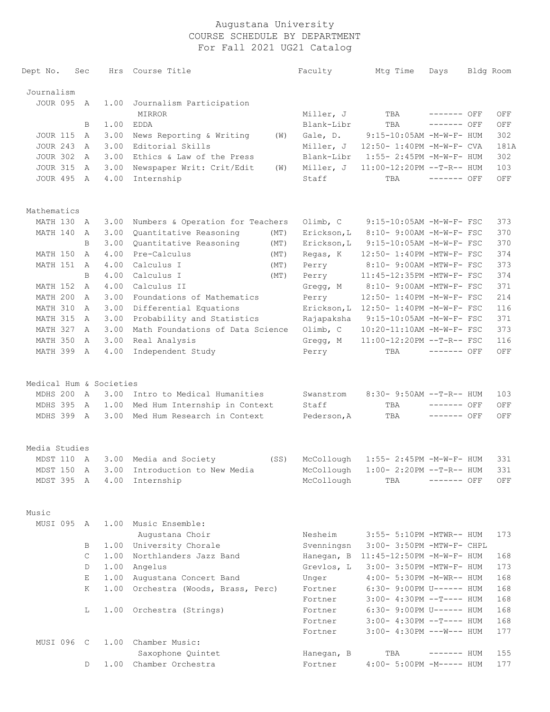| Dept No.                | Sec          | Hrs  | Course Title                              | Faculty     | Mtg Time                             | Days         | Bldg Room |
|-------------------------|--------------|------|-------------------------------------------|-------------|--------------------------------------|--------------|-----------|
| Journalism              |              |      |                                           |             |                                      |              |           |
| <b>JOUR 095</b>         | A            | 1.00 | Journalism Participation                  |             |                                      |              |           |
|                         |              |      | <b>MIRROR</b>                             | Miller, J   | TBA                                  | ------- OFF  | OFF       |
|                         | B            | 1.00 | <b>EDDA</b>                               | Blank-Libr  | TBA                                  | ------- OFF  | OFF       |
| <b>JOUR 115</b>         | A            | 3.00 | News Reporting & Writing<br>(W)           | Gale, D.    | 9:15-10:05AM -M-W-F- HUM             |              | 302       |
| <b>JOUR 243</b>         | A            | 3.00 | Editorial Skills                          | Miller, J   | 12:50- 1:40PM -M-W-F- CVA            |              | 181A      |
| <b>JOUR 302</b>         | A            | 3.00 | Ethics & Law of the Press                 | Blank-Libr  | 1:55- 2:45PM -M-W-F- HUM             |              | 302       |
| <b>JOUR 315</b>         | A            | 3.00 | Newspaper Writ: Crit/Edit<br>(W)          | Miller, J   | 11:00-12:20PM --T-R-- HUM            |              | 103       |
| <b>JOUR 495</b>         | A            | 4.00 | Internship                                | Staff       | TBA                                  | $------$ OFF | OFF       |
| Mathematics             |              |      |                                           |             |                                      |              |           |
| MATH 130 A              |              | 3.00 | Numbers & Operation for Teachers          | Olimb, C    | 9:15-10:05AM -M-W-F- FSC             |              | 373       |
| MATH 140                | A            | 3.00 | Quantitative Reasoning<br>(MT)            | Erickson, L | 8:10- 9:00AM -M-W-F- FSC             |              | 370       |
|                         | B            | 3.00 | Quantitative Reasoning<br>(MT)            | Erickson, L | 9:15-10:05AM -M-W-F- FSC             |              | 370       |
| MATH 150                | $\mathsf{A}$ | 4.00 | Pre-Calculus<br>(MT)                      | Regas, K    | 12:50- 1:40PM -MTW-F- FSC            |              | 374       |
| MATH 151                | A            | 4.00 | Calculus I<br>(MT)                        | Perry       | 8:10- 9:00AM -MTW-F- FSC             |              | 373       |
|                         | B            | 4.00 | Calculus I<br>(MT)                        | Perry       | 11:45-12:35PM -MTW-F- FSC            |              | 374       |
| MATH 152                | A            | 4.00 | Calculus II                               | Gregg, M    | 8:10- 9:00AM -MTW-F- FSC             |              | 371       |
| MATH 200                | $\mathbb{A}$ | 3.00 | Foundations of Mathematics                | Perry       | 12:50- 1:40PM -M-W-F- FSC            |              | 214       |
| MATH 310                | $\mathbb{A}$ | 3.00 | Differential Equations                    | Erickson, L | 12:50- 1:40PM -M-W-F- FSC            |              | 116       |
| MATH 315                | $\mathbb{A}$ | 3.00 | Probability and Statistics                | Rajapaksha  | 9:15-10:05AM -M-W-F- FSC             |              | 371       |
| MATH 327                | A            | 3.00 | Math Foundations of Data Science          | Olimb, C    | 10:20-11:10AM -M-W-F- FSC            |              | 373       |
| MATH 350                | A            | 3.00 | Real Analysis                             | Gregg, M    | 11:00-12:20PM --T-R-- FSC            |              | 116       |
| MATH 399 A              |              | 4.00 | Independent Study                         | Perry       | TBA                                  | $------$ OFF | OFF       |
| Medical Hum & Societies |              |      |                                           |             |                                      |              |           |
| MDHS 200                | A            | 3.00 | Intro to Medical Humanities               | Swanstrom   | 8:30- 9:50AM --T-R-- HUM             |              | 103       |
| MDHS 395                | A            | 1.00 | Med Hum Internship in Context             | Staff       | TBA                                  | $------$ OFF | OFF       |
| MDHS 399 A              |              | 3.00 | Med Hum Research in Context               | Pederson, A | TBA                                  | $------$ OFF | OFF       |
| Media Studies           |              |      |                                           |             |                                      |              |           |
| MDST 110 A              |              |      | 3.00 Media and Society<br>(SS)            | McCollough  | 1:55- 2:45PM -M-W-F- HUM             |              | 331       |
|                         |              |      | MDST 150 A 3.00 Introduction to New Media | McCollough  | $1:00-2:20PM -T-R--HUM$              |              | 331       |
| MDST 395 A              |              |      | 4.00 Internship                           | McCollough  | TBA                                  | $------$ OFF | OFF       |
| Music                   |              |      |                                           |             |                                      |              |           |
| MUSI 095 A              |              |      | 1.00 Music Ensemble:<br>Augustana Choir   | Nesheim     | 3:55- 5:10PM -MTWR-- HUM             |              | 173       |
|                         | B            |      | 1.00 University Chorale                   | Svenningsn  | 3:00- 3:50PM -MTW-F- CHPL            |              |           |
|                         | $\mathsf{C}$ | 1.00 | Northlanders Jazz Band                    |             | Hanegan, B 11:45-12:50PM -M-W-F- HUM |              | 168       |
|                         | D            |      | 1.00 Angelus                              | Grevlos, L  | 3:00- 3:50PM -MTW-F- HUM             |              | 173       |
|                         | Е            |      | 1.00 Augustana Concert Band               | Unger       | 4:00- 5:30PM -M-WR-- HUM             |              | 168       |
|                         | K            |      | 1.00 Orchestra (Woods, Brass, Perc)       | Fortner     | 6:30- 9:00PM U------ HUM             |              | 168       |
|                         |              |      |                                           | Fortner     | $3:00-4:30PM --T--- HUM$             |              | 168       |
|                         | L            |      | 1.00 Orchestra (Strings)                  | Fortner     | 6:30- 9:00PM U------ HUM             |              | 168       |
|                         |              |      |                                           | Fortner     | $3:00-4:30PM --T--- HUM$             |              | 168       |
|                         |              |      |                                           | Fortner     | $3:00-4:30PM$ ---W--- HUM            |              | 177       |
| MUSI 096 C              |              | 1.00 | Chamber Music:                            |             |                                      |              |           |
|                         |              |      | Saxophone Quintet                         | Hanegan, B  | TBA                                  | $------$ HUM | 155       |
|                         | D            |      | 1.00 Chamber Orchestra                    | Fortner     | 4:00- 5:00PM -M----- HUM             |              | 177       |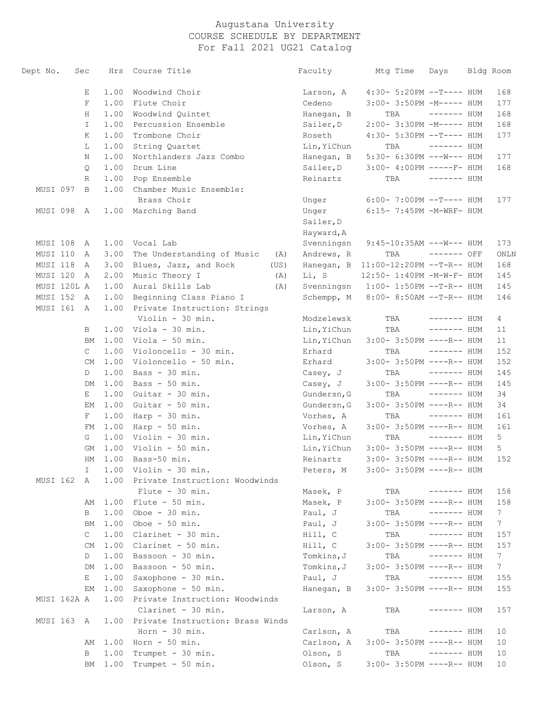| Dept No.             | Sec |              | Hrs          | Course Title                                            |      | Faculty             | Mtg Time                                              | Days         | Bldg Room            |
|----------------------|-----|--------------|--------------|---------------------------------------------------------|------|---------------------|-------------------------------------------------------|--------------|----------------------|
|                      |     | Е            | 1.00         | Woodwind Choir                                          |      | Larson, A           | 4:30- 5:20PM --T---- HUM                              |              | 168                  |
|                      |     | F            | 1.00         | Flute Choir                                             |      | Cedeno              | 3:00- 3:50PM -M----- HUM                              |              | 177                  |
|                      |     | Η            | 1.00         | Woodwind Quintet                                        |      | Hanegan, B          | TBA                                                   | $------$ HUM | 168                  |
|                      |     | I.           | 1.00         | Percussion Ensemble                                     |      | Sailer, D           | 2:00- 3:30PM -M----- HUM                              |              | 168                  |
|                      |     | Κ            | 1.00         | Trombone Choir                                          |      | Roseth              | 4:30- 5:30PM --T---- HUM                              |              | 177                  |
|                      |     | L            | 1.00         | String Quartet                                          |      | Lin, YiChun         | TBA                                                   | $------$ HUM |                      |
|                      |     | Ν            | 1.00         | Northlanders Jazz Combo                                 |      | Hanegan, B          | 5:30- 6:30PM ---W--- HUM                              |              | 177                  |
|                      |     | Q            | 1.00         | Drum Line                                               |      | Sailer, D           | $3:00-4:00PM$ -----F- HUM                             |              | 168                  |
|                      |     | R            | 1.00         | Pop Ensemble                                            |      | Reinartz            | TBA                                                   | $------$ HUM |                      |
| MUSI 097             |     | B            | 1.00         | Chamber Music Ensemble:<br>Brass Choir                  |      | Unger               | $6:00-7:00PM -T--- HUM$                               |              | 177                  |
| MUSI 098 A           |     |              | 1.00         | Marching Band                                           |      | Unger               | $6:15-7:45PM -M-WRF- HUM$                             |              |                      |
|                      |     |              |              |                                                         |      | Sailer, D           |                                                       |              |                      |
|                      |     |              |              |                                                         |      | Hayward, A          |                                                       |              |                      |
| MUSI 108 A           |     |              | 1.00         | Vocal Lab                                               |      |                     | $9:45-10:35AM$ ---W--- HUM                            |              | 173                  |
| MUSI 110             |     |              | 3.00         |                                                         |      | Svenningsn          | TBA                                                   | ------- OFF  |                      |
| MUSI 118             | A   |              | 3.00         | The Understanding of Music<br>Blues, Jazz, and Rock     | (A)  | Andrews, R          | 11:00-12:20PM --T-R-- HUM                             |              | ONLN<br>168          |
| MUSI 120             | A   |              | 2.00         |                                                         | (US) | Hanegan, B<br>Li, S |                                                       |              | 145                  |
|                      | A   |              |              | Music Theory I                                          | (A)  |                     | 12:50- 1:40PM -M-W-F- HUM<br>$1:00-1:50PM --T-R--HUM$ |              |                      |
| MUSI 120L A          |     |              | 1.00         | Aural Skills Lab                                        | (A)  | Svenningsn          |                                                       |              | 145                  |
| MUSI 152<br>MUSI 161 | A   |              | 1.00<br>1.00 | Beginning Class Piano I<br>Private Instruction: Strings |      | Schempp, M          | 8:00- 8:50AM --T-R-- HUM                              |              | 146                  |
|                      | A   |              |              | Violin - 30 min.                                        |      |                     | TBA                                                   |              |                      |
|                      |     |              | 1.00         | Viola - 30 min.                                         |      | Modzelewsk          | TBA                                                   | ------- HUM  | $\overline{4}$<br>11 |
|                      |     | B            | 1.00         | Viola - 50 min.                                         |      | Lin, YiChun         |                                                       | ------- HUM  | 11                   |
|                      |     | ΒM           | 1.00         |                                                         |      | Lin, YiChun         | $3:00-3:50PM$ ----R-- HUM                             |              |                      |
|                      |     | $\mathsf{C}$ | 1.00         | Violoncello - 30 min.                                   |      | Erhard              | TBA                                                   | $------$ HUM | 152                  |
|                      |     | CM           |              | Violoncello - 50 min.                                   |      | Erhard              | $3:00-3:50PM$ ----R-- HUM                             |              | 152                  |
|                      |     | D            | 1.00         | Bass - 30 min.                                          |      | Casey, J            | TBA                                                   | ------- HUM  | 145                  |
|                      |     | DM           | 1.00         | Bass $-50$ min.                                         |      | Casey, J            | 3:00- 3:50PM ----R-- HUM                              |              | 145                  |
|                      |     | Е            | 1.00         | Guitar - 30 min.                                        |      | Gundersn, G         | TBA                                                   | ------- HUM  | 34                   |
|                      |     | EМ           | 1.00         | Guitar - 50 min.                                        |      | Gundersn, G         | 3:00- 3:50PM ----R-- HUM                              |              | 34                   |
|                      |     | $F^-$        | 1.00         | $Harp - 30 min.$                                        |      | Vorhes, A           | TBA                                                   | ------- HUM  | 161                  |
|                      |     | FM           | 1.00         | $Harp - 50 min.$                                        |      | Vorhes, A           | 3:00- 3:50PM ----R-- HUM                              |              | 161                  |
|                      |     | G            | 1.00<br>1.00 | Violin - 30 min.                                        |      | Lin, YiChun         | TBA                                                   | $------$ HUM | 5                    |
|                      |     | GМ           |              | Violin - 50 min.                                        |      | Lin, YiChun         | $3:00-3:50PM$ ----R-- HUM                             |              | 5                    |
|                      |     | HМ           | 1.00         | Bass-50 min.                                            |      | Reinartz            | 3:00- 3:50PM ----R-- HUM                              |              | 152                  |
|                      |     |              |              | I 1.00 Violin - 30 min.                                 |      | Peters, M           | $3:00-3:50PM$ ----R-- HUM                             |              |                      |
| MUSI 162 A           |     |              |              | 1.00 Private Instruction: Woodwinds<br>Flute $-30$ min. |      |                     |                                                       |              |                      |
|                      |     |              |              |                                                         |      | Masek, P            | TBA                                                   | $------$ HUM | 158                  |
|                      |     | AΜ           |              | $1.00$ Flute - 50 min.                                  |      | Masek, P            | 3:00- 3:50PM ----R-- HUM                              |              | 158                  |
|                      |     | B            | 1.00         | Oboe $-30$ min.                                         |      | Paul, J             | TBA                                                   | $------$ HUM | 7                    |
|                      |     | BМ           | 1.00         | Oboe $-50$ min.                                         |      | Paul, J             | 3:00- 3:50PM ----R-- HUM                              |              | $7^{\circ}$          |
|                      |     | $\mathsf{C}$ | 1.00         | Clarinet - 30 min.                                      |      | Hill, C             | TBA                                                   | $------$ HUM | 157                  |
|                      |     | CM           | 1.00         | Clarinet - 50 min.                                      |      | Hill, C             | 3:00- 3:50PM ----R-- HUM                              |              | 157                  |
|                      |     | D            | 1.00         | Bassoon - 30 min.                                       |      | Tomkins, J          | TBA                                                   | $------$ HUM | 7                    |
|                      |     | DM           | 1.00         | Bassoon - 50 min.                                       |      | Tomkins, J          | 3:00- 3:50PM ----R-- HUM                              |              | 7 <sup>7</sup>       |
|                      |     | Е            | 1.00         | Saxophone - 30 min.                                     |      | Paul, J             | TBA                                                   | $------$ HUM | 155                  |
|                      |     | EМ           | 1.00         | Saxophone - 50 min.                                     |      | Hanegan, B          | 3:00- 3:50PM ----R-- HUM                              |              | 155                  |
| MUSI 162A A          |     |              | 1.00         | Private Instruction: Woodwinds                          |      |                     |                                                       |              |                      |
|                      |     |              |              | Clarinet - 30 min.                                      |      | Larson, A           | TBA                                                   | ------- HUM  | 157                  |
| MUSI 163 A           |     |              |              | 1.00 Private Instruction: Brass Winds                   |      |                     |                                                       |              |                      |
|                      |     |              |              | Horn $-30$ min.                                         |      | Carlson, A          | TBA                                                   | ------- HUM  | 10                   |
|                      |     | AΜ           | 1.00         | $Horn - 50 min.$                                        |      | Carlson, A          | $3:00-3:50PM$ ----R-- HUM                             |              | 10                   |
|                      |     | B            | 1.00         | Trumpet - 30 min.                                       |      | Olson, S            | TBA                                                   | $------$ HUM | 10                   |
|                      |     | ВM           | 1.00         | Trumpet - 50 min.                                       |      | Olson, S            | 3:00- 3:50PM ----R-- HUM                              |              | 10                   |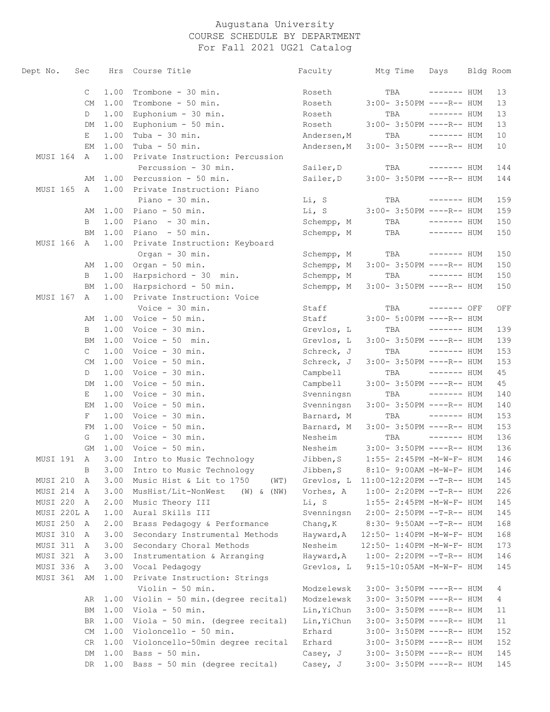| Dept No.    | Sec          | Hrs  | Course Title                          | Faculty     | Mtg Time                     | Days         | Bldg Room |
|-------------|--------------|------|---------------------------------------|-------------|------------------------------|--------------|-----------|
|             | C            | 1.00 | Trombone - 30 min.                    | Roseth      | TBA                          | ------- HUM  | 13        |
|             | <b>CM</b>    | 1.00 | Trombone - 50 min.                    | Roseth      | 3:00- 3:50PM ----R-- HUM     |              | 13        |
|             | D            | 1.00 | Euphonium - 30 min.                   | Roseth      | TBA                          | $------$ HUM | 13        |
|             | DM           | 1.00 | Euphonium - 50 min.                   | Roseth      | 3:00- 3:50PM ----R-- HUM     |              | 13        |
|             | Е            | 1.00 | Tuba - 30 min.                        | Andersen, M | TBA                          | $------$ HUM | 10        |
|             | ΕM           | 1.00 | Tuba - $50$ min.                      | Andersen, M | $3:00-3:50PM$ ----R-- HUM    |              | 10        |
| MUSI 164    | A            | 1.00 | Private Instruction: Percussion       |             |                              |              |           |
|             |              |      | Percussion - 30 min.                  | Sailer, D   | TBA                          | $------$ HUM | 144       |
|             | AΜ           | 1.00 | Percussion - 50 min.                  | Sailer, D   | 3:00- 3:50PM ----R-- HUM     |              | 144       |
| MUSI 165    | A            | 1.00 | Private Instruction: Piano            |             |                              |              |           |
|             |              |      | Piano - 30 min.                       | Li, S       | TBA                          | $------$ HUM | 159       |
|             | AΜ           | 1.00 | Piano - 50 min.                       | Li, S       | 3:00- 3:50PM ----R-- HUM     |              | 159       |
|             | B            | 1.00 | Piano - 30 min.                       | Schempp, M  | TBA                          | $------$ HUM | 150       |
|             | ВM           | 1.00 | Piano - 50 min.                       | Schempp, M  | TBA                          | ------- HUM  | 150       |
| MUSI 166    | A            | 1.00 | Private Instruction: Keyboard         |             |                              |              |           |
|             |              |      | Organ - 30 min.                       | Schempp, M  | TBA                          | $------$ HUM | 150       |
|             | AΜ           | 1.00 | Organ - 50 min.                       | Schempp, M  | 3:00- 3:50PM ----R-- HUM     |              | 150       |
|             | B            | 1.00 | Harpsichord - 30 min.                 | Schempp, M  | TBA                          | $------$ HUM | 150       |
|             | BМ           | 1.00 | Harpsichord - 50 min.                 | Schempp, M  | 3:00- 3:50PM ----R-- HUM     |              | 150       |
| MUSI 167    | A            | 1.00 | Private Instruction: Voice            |             |                              |              |           |
|             |              |      | Voice - 30 min.                       | Staff       | TBA                          | ------- OFF  | OFF       |
|             | AΜ           | 1.00 | Voice - 50 min.                       | Staff       | 3:00- 5:00PM ----R-- HUM     |              |           |
|             | B            | 1.00 | Voice - 30 min.                       | Grevlos, L  | TBA                          | ------- HUM  | 139       |
|             | ВM           | 1.00 | Voice - 50 min.                       | Grevlos, L  | 3:00- 3:50PM ----R-- HUM     |              | 139       |
|             | $\mathsf{C}$ | 1.00 | Voice - 30 min.                       | Schreck, J  | TBA                          | $------$ HUM | 153       |
|             | <b>CM</b>    | 1.00 | Voice - 50 min.                       | Schreck, J  | 3:00- 3:50PM ----R-- HUM     |              | 153       |
|             | D            | 1.00 | Voice - 30 min.                       | Campbell    | TBA                          | $------$ HUM | 45        |
|             | DM           | 1.00 | Voice - 50 min.                       | Campbell    | 3:00- 3:50PM ----R-- HUM     |              | 45        |
|             | Е            | 1.00 | Voice - 30 min.                       | Svenningsn  | TBA                          | $------$ HUM | 140       |
|             | EМ           | 1.00 | Voice - 50 min.                       | Svenningsn  | 3:00- 3:50PM ----R-- HUM     |              | 140       |
|             | F            | 1.00 | Voice - 30 min.                       | Barnard, M  | TBA                          | $------$ HUM | 153       |
|             | FΜ           | 1.00 | Voice - 50 min.                       | Barnard, M  | 3:00- 3:50PM ----R-- HUM     |              | 153       |
|             | G            | 1.00 | Voice - 30 min.                       | Nesheim     | TBA                          | $------$ HUM | 136       |
|             | GМ           | 1.00 | Voice - 50 min.                       | Nesheim     | 3:00- 3:50PM ----R-- HUM     |              | 136       |
| MUSI 191    | A            | 3.00 | Intro to Music Technology             | Jibben, S   | 1:55- 2:45PM -M-W-F- HUM     |              | 146       |
|             | $\mathbf{B}$ |      | 3.00 Intro to Music Technology        | Jibben, S   | $8:10-9:00$ AM $-M-W-F-$ HUM |              | 146       |
| MUSI 210    | A            | 3.00 | Music Hist & Lit to 1750<br>(WT)      | Grevlos, L  | 11:00-12:20PM --T-R-- HUM    |              | 145       |
| MUSI 214    | A            | 3.00 | MusHist/Lit-NonWest<br>(W) & (NW)     | Vorhes, A   | $1:00-2:20PM -T-R--HUM$      |              | 226       |
| MUSI 220    | A            | 2.00 | Music Theory III                      | Li, S       | 1:55- 2:45PM -M-W-F- HUM     |              | 145       |
| MUSI 220L A |              | 1.00 | Aural Skills III                      | Svenningsn  | 2:00- 2:50PM --T-R-- HUM     |              | 145       |
| MUSI 250    | A            | 2.00 | Brass Pedagogy & Performance          | Chang, K    | 8:30- 9:50AM --T-R-- HUM     |              | 168       |
| MUSI 310    | A            | 3.00 | Secondary Instrumental Methods        | Hayward, A  | 12:50- 1:40PM -M-W-F- HUM    |              | 168       |
| MUSI 311    | A            | 3.00 | Secondary Choral Methods              | Nesheim     | 12:50- 1:40PM -M-W-F- HUM    |              | 173       |
| MUSI 321    | A            | 3.00 | Instrumentation & Arranging           | Hayward, A  | $1:00-2:20PM -T-R--HUM$      |              | 146       |
| MUSI 336    | A            | 3.00 | Vocal Pedagogy                        | Grevlos, L  | $9:15-10:05AM -M-W-F- HUM$   |              | 145       |
| MUSI 361    | AΜ           | 1.00 | Private Instruction: Strings          |             |                              |              |           |
|             |              |      | Violin - 50 min.                      | Modzelewsk  | $3:00-3:50PM$ ----R-- HUM    |              | 4         |
|             | AR           | 1.00 | Violin - 50 min. (degree recital)     | Modzelewsk  | $3:00-3:50PM$ ----R-- HUM    |              | 4         |
|             | ВM           | 1.00 | Viola - 50 min.                       | Lin, YiChun | $3:00-3:50PM$ ----R-- HUM    |              | 11        |
|             | BR           | 1.00 | Viola - 50 min. (degree recital)      | Lin, YiChun | $3:00-3:50PM$ ----R-- HUM    |              | 11        |
|             | CM           | 1.00 | Violoncello - 50 min.                 | Erhard      | $3:00-3:50PM$ ----R-- HUM    |              | 152       |
|             | CR           |      | 1.00 Violoncello-50min degree recital | Erhard      | $3:00-3:50PM$ ----R-- HUM    |              | 152       |
|             | DM           | 1.00 | Bass - 50 min.                        | Casey, J    | $3:00-3:50PM$ ----R-- HUM    |              | 145       |
|             | DR           | 1.00 | Bass - 50 min (degree recital)        | Casey, J    | 3:00- 3:50PM ----R-- HUM     |              | 145       |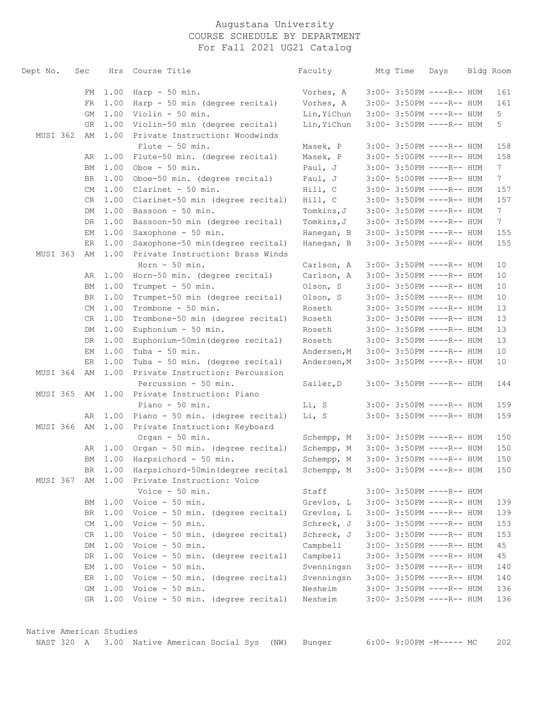| Dept No. | Sec      |              | Hrs Course Title                                                             | Faculty                  | Mtg Time | Days                                                 | Bldg Room             |
|----------|----------|--------------|------------------------------------------------------------------------------|--------------------------|----------|------------------------------------------------------|-----------------------|
|          |          |              |                                                                              |                          |          |                                                      |                       |
|          | FM       | 1.00         | $Harp - 50 min.$                                                             | Vorhes, A                |          | 3:00- 3:50PM ----R-- HUM                             | 161                   |
|          | FR       | 1.00         | Harp - 50 min (degree recital)                                               | Vorhes, A                |          | 3:00- 3:50PM ----R-- HUM                             | 161                   |
|          | GM       | 1.00         | Violin - 50 min.                                                             | Lin, YiChun              |          | 3:00- 3:50PM ----R-- HUM                             | 5                     |
|          | GR       | 1.00         | Violin-50 min (degree recital)                                               | Lin, YiChun              |          | 3:00- 3:50PM ----R-- HUM                             | 5                     |
| MUSI 362 | AΜ       | 1.00         | Private Instruction: Woodwinds                                               |                          |          |                                                      |                       |
|          |          |              | Flute $-50$ min.                                                             | Masek, P                 |          | 3:00- 3:50PM ----R-- HUM                             | 158                   |
|          | AR       | 1.00         | Flute-50 min. (degree recital)                                               | Masek, P                 |          | 3:00- 5:00PM ----R-- HUM                             | 158                   |
|          | ВM       | 1.00         | Oboe $-50$ min.                                                              | Paul, J                  |          | 3:00- 3:50PM ----R-- HUM                             | 7 <sup>7</sup>        |
|          | BR       | 1.00         | Oboe-50 min. (degree recital)                                                | Paul, J                  |          | 3:00- 5:00PM ----R-- HUM                             | $7\phantom{.0}$       |
|          | CM       | 1.00         | Clarinet - 50 min.                                                           | Hill, C                  |          | 3:00- 3:50PM ----R-- HUM                             | 157                   |
|          | CR       | 1.00         | Clarinet-50 min (degree recital)                                             | Hill, C                  |          | 3:00- 3:50PM ----R-- HUM                             | 157<br>7 <sup>7</sup> |
|          | DM       | 1.00         | Bassoon - 50 min.                                                            | Tomkins, J               |          | 3:00- 3:50PM ----R-- HUM                             | $7\phantom{.0}$       |
|          | DR       | 1.00<br>1.00 | Bassoon-50 min (degree recital)                                              | Tomkins, J               |          | 3:00- 3:50PM ----R-- HUM<br>3:00- 3:50PM ----R-- HUM |                       |
|          | EМ       | 1.00         | Saxophone - 50 min.<br>Saxophone-50 min(degree recital)                      | Hanegan, B<br>Hanegan, B |          | 3:00- 3:50PM ----R-- HUM                             | 155                   |
| MUSI 363 | ER<br>AΜ | 1.00         | Private Instruction: Brass Winds                                             |                          |          |                                                      | 155                   |
|          |          |              | Horn $-50$ min.                                                              | Carlson, A               |          | $3:00-3:50PM$ ----R-- HUM                            | 10                    |
|          | AR       | 1.00         | Horn-50 min. (degree recital)                                                | Carlson, A               |          | 3:00- 3:50PM ----R-- HUM                             | 10                    |
|          | ВM       | 1.00         | Trumpet - 50 min.                                                            | Olson, S                 |          | 3:00- 3:50PM ----R-- HUM                             | 10                    |
|          | BR       | 1.00         | Trumpet-50 min (degree recital)                                              | Olson, S                 |          | 3:00- 3:50PM ----R-- HUM                             | 10                    |
|          | СM       | 1.00         | Trombone - 50 min.                                                           | Roseth                   |          | 3:00- 3:50PM ----R-- HUM                             | 13                    |
|          | CR       | 1.00         | Trombone-50 min (degree recital)                                             | Roseth                   |          | 3:00- 3:50PM ----R-- HUM                             | 13                    |
|          | DM       | 1.00         | Euphonium - 50 min.                                                          | Roseth                   |          | 3:00- 3:50PM ----R-- HUM                             | 13                    |
|          | DR       | 1.00         | Euphonium-50min(degree recital)                                              | Roseth                   |          | 3:00- 3:50PM ----R-- HUM                             | 13                    |
|          | EМ       | 1.00         | Tuba - 50 min.                                                               | Andersen, M              |          | 3:00- 3:50PM ----R-- HUM                             | 10                    |
|          | ER       | 1.00         | Tuba - 50 min. (degree recital)                                              | Andersen, M              |          | 3:00- 3:50PM ----R-- HUM                             | 10                    |
| MUSI 364 | AΜ       | 1.00         | Private Instruction: Percussion                                              |                          |          |                                                      |                       |
|          |          |              | Percussion - 50 min.                                                         | Sailer, D                |          | 3:00- 3:50PM ----R-- HUM                             | 144                   |
| MUSI 365 | AΜ       | 1.00         | Private Instruction: Piano                                                   |                          |          |                                                      |                       |
|          |          |              | Piano - $50$ min.                                                            | Li, S                    |          | 3:00- 3:50PM ----R-- HUM                             | 159                   |
|          | AR       | 1.00         | Piano - 50 min. (degree recital)                                             | Li, S                    |          | 3:00- 3:50PM ----R-- HUM                             | 159                   |
| MUSI 366 | AΜ       | 1.00         | Private Instruction: Keyboard                                                |                          |          |                                                      |                       |
|          |          |              | Organ - 50 min.                                                              | Schempp, M               |          | $3:00-3:50PM$ ----R-- HUM                            | 150                   |
|          | AR       | 1.00         | Organ - 50 min. (degree recital)                                             | Schempp, M               |          | $3:00-3:50PM$ ----R-- HUM                            | 150                   |
|          | ВM       | 1.00         | Harpsichord - 50 min.                                                        | Schempp, M               |          | 3:00- 3:50PM ----R-- HUM                             | 150                   |
|          |          |              | BR 1.00 Harpsichord-50min (degree recital Schempp, M 3:00-3:50PM ----R-- HUM |                          |          |                                                      | 150                   |
| MUSI 367 |          |              | AM 1.00 Private Instruction: Voice                                           |                          |          |                                                      |                       |
|          |          |              | Voice - 50 min.                                                              | Staff                    |          | $3:00-3:50PM$ ----R-- HUM                            |                       |
|          | ВM       |              | $1.00$ Voice - 50 min.                                                       | Grevlos, L               |          | $3:00-3:50PM$ ----R-- HUM                            | 139                   |
|          | BR.      |              | 1.00 Voice - 50 min. (degree recital)                                        | Grevlos, L               |          | $3:00-3:50PM$ ----R-- HUM                            | 139                   |
|          | CM       |              | $1.00$ Voice - 50 min.                                                       | Schreck, J               |          | $3:00-3:50PM$ ----R-- HUM                            | 153                   |
|          | CR       | 1.00         | Voice - 50 min. (degree recital)                                             | Schreck, J               |          | $3:00-3:50PM$ ----R-- HUM                            | 153                   |
|          | DM       |              | $1.00$ Voice - 50 min.                                                       | Campbell                 |          | $3:00-3:50PM$ ----R-- HUM                            | 45                    |
|          | DR.      |              | 1.00 Voice - 50 min. (degree recital)                                        | Campbell                 |          | 3:00- 3:50PM ----R-- HUM                             | 45                    |
|          | EМ       |              | $1.00$ Voice - 50 min.                                                       | Svenningsn               |          | $3:00-3:50PM$ ----R-- HUM                            | 140                   |
|          | ER       |              | 1.00 Voice - 50 min. (degree recital)                                        | Svenningsn               |          | $3:00-3:50PM$ ----R-- HUM                            | 140                   |
|          | GM       |              | $1.00$ Voice - 50 min.                                                       | Nesheim                  |          | $3:00-3:50PM$ ----R-- HUM                            | 136                   |
|          | GR       |              | 1.00 Voice - 50 min. (degree recital)                                        | Nesheim                  |          | 3:00- 3:50PM ----R-- HUM                             | 136                   |
|          |          |              |                                                                              |                          |          |                                                      |                       |

 Native American Studies NAST 320 A 3.00 Native American Social Sys (NW) Bunger 6:00- 9:00PM -M----- MC 202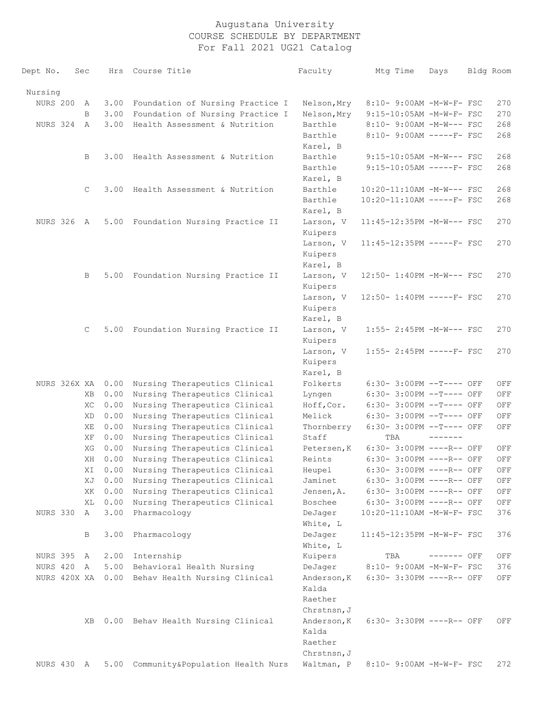| Dept No.        | Sec |              |         | Hrs Course Title                      | Faculty              | Mtg Time                     | Days            | Bldg Room |
|-----------------|-----|--------------|---------|---------------------------------------|----------------------|------------------------------|-----------------|-----------|
| Nursing         |     |              |         |                                       |                      |                              |                 |           |
| <b>NURS 200</b> |     | А            | 3.00    | Foundation of Nursing Practice I      | Nelson, Mry          | 8:10- 9:00AM -M-W-F- FSC     |                 | 270       |
|                 |     | B            | 3.00    | Foundation of Nursing Practice I      | Nelson, Mry          | 9:15-10:05AM -M-W-F- FSC     |                 | 270       |
| NURS 324        |     | $\mathbb{A}$ | 3.00    | Health Assessment & Nutrition         | Barthle              | 8:10- 9:00AM -M-W--- FSC     |                 | 268       |
|                 |     |              |         |                                       | Barthle              | 8:10- 9:00AM -----F- FSC     |                 | 268       |
|                 |     |              |         |                                       | Karel, B             |                              |                 |           |
|                 |     | В            | 3.00    | Health Assessment & Nutrition         | Barthle              | 9:15-10:05AM -M-W--- FSC     |                 | 268       |
|                 |     |              |         |                                       | Barthle              | $9:15-10:05AM$ -----F- FSC   |                 | 268       |
|                 |     |              |         |                                       | Karel, B             |                              |                 |           |
|                 |     | C            | 3.00    | Health Assessment & Nutrition         | Barthle              | 10:20-11:10AM -M-W--- FSC    |                 | 268       |
|                 |     |              |         |                                       | Barthle              | 10:20-11:10AM -----F- FSC    |                 | 268       |
|                 |     |              |         |                                       | Karel, B             |                              |                 |           |
| NURS 326        |     | A            | 5.00    | Foundation Nursing Practice II        | Larson, V            | 11:45-12:35PM -M-W--- FSC    |                 | 270       |
|                 |     |              |         |                                       | Kuipers              |                              |                 |           |
|                 |     |              |         |                                       | Larson, V            | $11:45-12:35PM$ -----F- FSC  |                 | 270       |
|                 |     |              |         |                                       | Kuipers              |                              |                 |           |
|                 |     |              |         |                                       | Karel, B             |                              |                 |           |
|                 |     | В            | 5.00    | Foundation Nursing Practice II        | Larson, V<br>Kuipers | 12:50- 1:40PM -M-W--- FSC    |                 | 270       |
|                 |     |              |         |                                       | Larson, V            | $12:50 - 1:40PM$ -----F- FSC |                 | 270       |
|                 |     |              |         |                                       | Kuipers              |                              |                 |           |
|                 |     |              |         |                                       | Karel, B             |                              |                 |           |
|                 |     | C            | 5.00    | Foundation Nursing Practice II        | Larson, V<br>Kuipers | 1:55- 2:45PM -M-W--- FSC     |                 | 270       |
|                 |     |              |         |                                       | Larson, V            | 1:55- 2:45PM -----F- FSC     |                 | 270       |
|                 |     |              |         |                                       | Kuipers              |                              |                 |           |
|                 |     |              |         |                                       | Karel, B             |                              |                 |           |
| NURS 326X XA    |     |              | 0.00    | Nursing Therapeutics Clinical         | Folkerts             | 6:30- 3:00PM --T---- OFF     |                 | OFF       |
|                 |     | XВ           | 0.00    | Nursing Therapeutics Clinical         | Lyngen               | 6:30- 3:00PM --T---- OFF     |                 | OFF       |
|                 |     | XC           | 0.00    | Nursing Therapeutics Clinical         | Hoff, Cor.           | 6:30- 3:00PM --T---- OFF     |                 | OFF       |
|                 |     | XD           | 0.00    | Nursing Therapeutics Clinical         | Melick               | 6:30- 3:00PM --T---- OFF     |                 | OFF       |
|                 |     | ΧE           | 0.00    | Nursing Therapeutics Clinical         | Thornberry           | 6:30- 3:00PM --T---- OFF     |                 | OFF       |
|                 |     | ΧF           | 0.00    | Nursing Therapeutics Clinical         | Staff                | TBA                          | $- - - - - - -$ |           |
|                 |     | XG           | 0.00    | Nursing Therapeutics Clinical         | Petersen, K          | 6:30- 3:00PM ----R-- OFF     |                 | OFF       |
|                 |     | ΧH           | 0.00    | Nursing Therapeutics Clinical         | Reints               | 6:30- 3:00PM ----R-- OFF     |                 | OFF       |
|                 |     |              | XI 0.00 | Nursing Therapeutics Clinical         | Heupel               | 6:30- 3:00PM ----R-- OFF     |                 | OFF       |
|                 |     | ΧJ           | 0.00    | Nursing Therapeutics Clinical         | Jaminet              | 6:30- 3:00PM ----R-- OFF     |                 | OFF       |
|                 |     | XK           | 0.00    | Nursing Therapeutics Clinical         | Jensen, A.           | 6:30- 3:00PM ----R-- OFF     |                 | OFF       |
|                 |     | XL           | 0.00    | Nursing Therapeutics Clinical         | Boschee              | 6:30- 3:00PM ----R-- OFF     |                 | OFF       |
| NURS 330        |     | A            | 3.00    | Pharmacology                          | DeJager              | 10:20-11:10AM -M-W-F- FSC    |                 | 376       |
|                 |     |              |         |                                       | White, L             |                              |                 |           |
|                 |     | В            | 3.00    | Pharmacology                          | DeJager              | 11:45-12:35PM -M-W-F- FSC    |                 | 376       |
|                 |     |              |         |                                       | White, L             |                              |                 |           |
| NURS 395        |     | A            | 2.00    | Internship                            | Kuipers              | TBA                          | ------- OFF     | OFF       |
| NURS 420        |     | A            | 5.00    | Behavioral Health Nursing             | DeJager              | 8:10- 9:00AM -M-W-F- FSC     |                 | 376       |
| NURS 420X XA    |     |              |         | 0.00 Behav Health Nursing Clinical    | Anderson, K          | 6:30- 3:30PM ----R-- OFF     |                 | OFF       |
|                 |     |              |         |                                       | Kalda                |                              |                 |           |
|                 |     |              |         |                                       | Raether              |                              |                 |           |
|                 |     |              |         |                                       | Chrstnsn, J          |                              |                 |           |
|                 |     | XВ           |         | 0.00 Behav Health Nursing Clinical    | Anderson, K<br>Kalda | 6:30- 3:30PM ----R-- OFF     |                 | OFF       |
|                 |     |              |         |                                       | Raether              |                              |                 |           |
|                 |     |              |         |                                       | Chrstnsn, J          |                              |                 |           |
| NURS 430 A      |     |              |         | 5.00 Community&Population Health Nurs | Waltman, P           | 8:10- 9:00AM -M-W-F- FSC     |                 | 272       |
|                 |     |              |         |                                       |                      |                              |                 |           |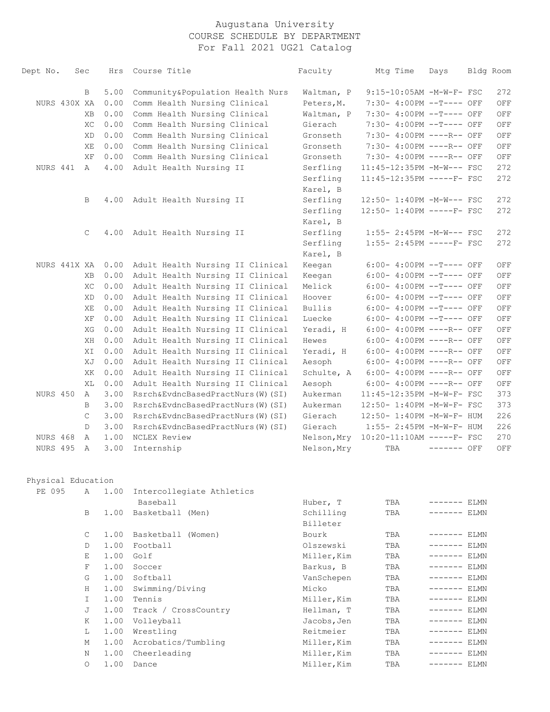| Dept No.           | Sec       | Hrs          | Course Title                                                 | Faculty                  | Mtg Time                                             | Days          | Bldg Room |            |
|--------------------|-----------|--------------|--------------------------------------------------------------|--------------------------|------------------------------------------------------|---------------|-----------|------------|
|                    |           |              |                                                              |                          |                                                      |               |           |            |
| NURS 430X XA       | B         | 5.00<br>0.00 | Community&Population Health Nurs                             | Waltman, P               | 9:15-10:05AM -M-W-F- FSC                             |               |           | 272        |
|                    |           | 0.00         | Comm Health Nursing Clinical                                 | Peters, M.<br>Waltman, P | 7:30- 4:00PM --T---- OFF                             |               |           | OFF        |
|                    | <b>XB</b> | 0.00         | Comm Health Nursing Clinical                                 | Gierach                  | 7:30- 4:00PM --T---- OFF<br>7:30- 4:00PM --T---- OFF |               |           | OFF        |
|                    | XC<br>XD  | 0.00         | Comm Health Nursing Clinical<br>Comm Health Nursing Clinical | Gronseth                 | 7:30- 4:00PM ----R-- OFF                             |               |           | OFF<br>OFF |
|                    | ΧE        | 0.00         | Comm Health Nursing Clinical                                 | Gronseth                 | 7:30- 4:00PM ----R-- OFF                             |               |           | OFF        |
|                    | ΧF        | 0.00         | Comm Health Nursing Clinical                                 | Gronseth                 | 7:30- 4:00PM ----R-- OFF                             |               |           | OFF        |
| NURS 441           | A         | 4.00         | Adult Health Nursing II                                      | Serfling                 | 11:45-12:35PM -M-W--- FSC                            |               |           | 272        |
|                    |           |              |                                                              | Serfling                 | 11:45-12:35PM -----F- FSC                            |               |           | 272        |
|                    |           |              |                                                              | Karel, B                 |                                                      |               |           |            |
|                    | B         | 4.00         | Adult Health Nursing II                                      | Serfling                 | 12:50- 1:40PM -M-W--- FSC                            |               |           | 272        |
|                    |           |              |                                                              | Serfling                 | 12:50- 1:40PM -----F- FSC                            |               |           | 272        |
|                    |           |              |                                                              | Karel, B                 |                                                      |               |           |            |
|                    | C         | 4.00         | Adult Health Nursing II                                      | Serfling                 | 1:55- 2:45PM -M-W--- FSC                             |               |           | 272        |
|                    |           |              |                                                              | Serfling                 | $1:55-2:45PM$ -----F- FSC                            |               |           | 272        |
|                    |           |              |                                                              | Karel, B                 |                                                      |               |           |            |
| NURS 441X XA       |           | 0.00         | Adult Health Nursing II Clinical                             | Keegan                   | 6:00- 4:00PM --T---- OFF                             |               |           | OFF        |
|                    | XB        | 0.00         | Adult Health Nursing II Clinical                             | Keeqan                   | 6:00- 4:00PM --T---- OFF                             |               |           | OFF        |
|                    | XC        | 0.00         | Adult Health Nursing II Clinical                             | Melick                   | 6:00- 4:00PM --T---- OFF                             |               |           | OFF        |
|                    | XD        | 0.00         | Adult Health Nursing II Clinical                             | Hoover                   | 6:00- 4:00PM --T---- OFF                             |               |           | OFF        |
|                    | ΧE        | 0.00         | Adult Health Nursing II Clinical                             | <b>Bullis</b>            | 6:00- 4:00PM --T---- OFF                             |               |           | OFF        |
|                    | ΧF        | 0.00         | Adult Health Nursing II Clinical                             | Luecke                   | 6:00- 4:00PM --T---- OFF                             |               |           | OFF        |
|                    | XG        | 0.00         | Adult Health Nursing II Clinical                             | Yeradi, H                | 6:00- 4:00PM ----R-- OFF                             |               |           | OFF        |
|                    | ΧH        | 0.00         | Adult Health Nursing II Clinical                             | Hewes                    | 6:00- 4:00PM ----R-- OFF                             |               |           | OFF        |
|                    | ΧI        | 0.00         | Adult Health Nursing II Clinical                             | Yeradi, H                | 6:00- 4:00PM ----R-- OFF                             |               |           | OFF        |
|                    | XJ        | 0.00         | Adult Health Nursing II Clinical                             | Aesoph                   | 6:00- 4:00PM ----R-- OFF                             |               |           | OFF        |
|                    | XK        | 0.00         | Adult Health Nursing II Clinical                             | Schulte, A               | 6:00- 4:00PM ----R-- OFF                             |               |           | OFF        |
|                    | XL        | 0.00         | Adult Health Nursing II Clinical                             | Aesoph                   | 6:00- 4:00PM ----R-- OFF                             |               |           | OFF        |
| NURS 450           | A         | 3.00         | Rsrch&EvdncBasedPractNurs(W)(SI)                             | Aukerman                 | 11:45-12:35PM -M-W-F- FSC                            |               |           | 373        |
|                    | B         | 3.00         | Rsrch&EvdncBasedPractNurs(W)(SI)                             | Aukerman                 | 12:50- 1:40PM -M-W-F- FSC                            |               |           | 373        |
|                    | C         | 3.00         | Rsrch&EvdncBasedPractNurs(W)(SI)                             | Gierach                  | 12:50- 1:40PM -M-W-F- HUM                            |               |           | 226        |
|                    | D         | 3.00         | Rsrch&EvdncBasedPractNurs(W)(SI)                             | Gierach                  | 1:55- 2:45PM -M-W-F- HUM                             |               |           | 226        |
| NURS 468           | Α         | 1.00         | NCLEX Review                                                 | Nelson, Mry              | 10:20-11:10AM -----F- FSC                            |               |           | 270        |
| NURS 495           | Α         | 3.00         | Internship                                                   | Nelson, Mry              | TBA                                                  | ------- OFF   |           | OFF        |
| Physical Education |           |              |                                                              |                          |                                                      |               |           |            |
| PE 095             | Α         | 1.00         | Intercollegiate Athletics                                    |                          |                                                      |               |           |            |
|                    |           |              | Baseball                                                     | Huber, T                 | TBA                                                  | ------- ELMN  |           |            |
|                    | B         | 1.00         | Basketball (Men)                                             | Schilling                | TBA                                                  | ------- ELMN  |           |            |
|                    |           |              |                                                              | Billeter                 |                                                      |               |           |            |
|                    | C         | 1.00         | Basketball (Women)                                           | Bourk                    | TBA                                                  | $------$ ELMN |           |            |
|                    | D         | 1.00         | Football                                                     | Olszewski                | TBA                                                  | $------$ ELMN |           |            |
|                    | E         | 1.00         | Golf                                                         | Miller, Kim              | TBA                                                  | $------$ ELMN |           |            |
|                    | F         | 1.00         | Soccer                                                       | Barkus, B                | TBA                                                  | $------$ ELMN |           |            |
|                    | G         | 1.00         | Softball                                                     | VanSchepen               | TBA                                                  | $------$ ELMN |           |            |
|                    | Н         | 1.00         | Swimming/Diving                                              | Micko                    | TBA                                                  | $------$ ELMN |           |            |
|                    | I.        | 1.00         | Tennis                                                       | Miller, Kim              | TBA                                                  | $------$ ELMN |           |            |
|                    | J         | 1.00         | Track / CrossCountry                                         | Hellman, T               | TBA                                                  | $------$ ELMN |           |            |
|                    | K         | 1.00         | Volleyball                                                   | Jacobs, Jen              | TBA                                                  | $------$ ELMN |           |            |
|                    | L         | 1.00         | Wrestling                                                    | Reitmeier                | TBA                                                  | $------$ ELMN |           |            |
|                    | М         | 1.00         | Acrobatics/Tumbling                                          | Miller, Kim              | TBA                                                  | $------$ ELMN |           |            |

 N 1.00 Cheerleading Miller,Kim TBA ------- ELMN O 1.00 Dance Miller,Kim TBA ------- ELMN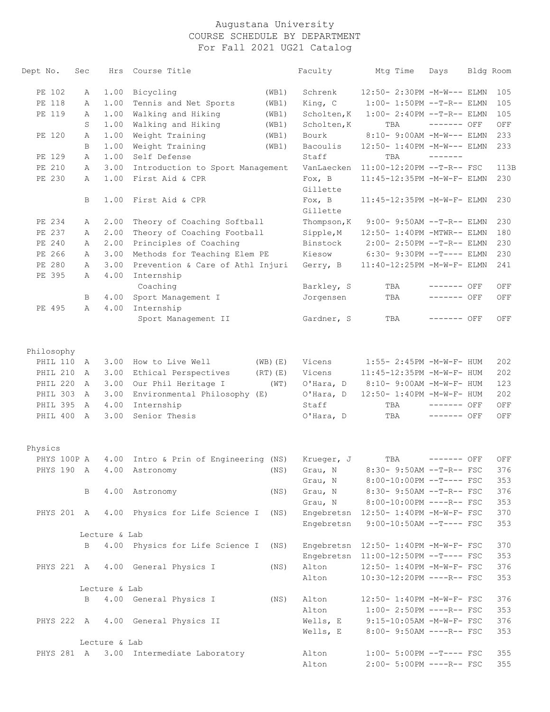| Dept No.    | Sec | Hrs           | Course Title                                     |              | Faculty                     | Mtq Time                                                           | Days         | Bldg Room  |
|-------------|-----|---------------|--------------------------------------------------|--------------|-----------------------------|--------------------------------------------------------------------|--------------|------------|
| PE 102      | Α   | 1.00          | Bicycling                                        | (WB1)        | Schrenk                     | 12:50- 2:30PM -M-W--- ELMN                                         |              | 105        |
| PE 118      | Α   | 1.00          | Tennis and Net Sports                            | (WB1)        | King, C                     | 1:00- 1:50PM --T-R-- ELMN                                          |              | 105        |
| PE 119      | Α   | 1.00          | Walking and Hiking                               | (WB1)        | Scholten, K                 | $1:00-2:40PM -T-R--ELMN$                                           |              | 105        |
|             | S   | 1.00          | Walking and Hiking                               | (WB1)        | Scholten, K                 | TBA                                                                | $------$ OFF | OFF        |
| PE 120      | Α   | 1.00          | Weight Training                                  | (WB1)        | Bourk                       | 8:10- 9:00AM -M-W--- ELMN                                          |              | 233        |
|             | B   | 1.00          | Weight Training                                  | (WB1)        | Bacoulis                    | 12:50- 1:40PM -M-W--- ELMN                                         |              | 233        |
| PE 129      | Α   | 1.00          | Self Defense                                     |              | Staff                       | TBA                                                                | -------      |            |
| PE 210      | Α   | 3.00          | Introduction to Sport Management                 |              | VanLaecken                  | 11:00-12:20PM --T-R-- FSC                                          |              | 113B       |
| PE 230      | Α   | 1.00          | First Aid & CPR                                  |              | $F \circ x$ , B<br>Gillette | 11:45-12:35PM -M-W-F- ELMN                                         |              | 230        |
|             | B   | 1.00          | First Aid & CPR                                  |              | $F \circ x$ , B<br>Gillette | 11:45-12:35PM -M-W-F- ELMN                                         |              | 230        |
| PE 234      | Α   | 2.00          | Theory of Coaching Softball                      |              | Thompson, K                 | $9:00-9:50AM --T-R--ELMN$                                          |              | 230        |
| PE 237      | Α   | 2.00          | Theory of Coaching Football                      |              | Sipple, M                   | 12:50- 1:40PM -MTWR-- ELMN                                         |              | 180        |
| PE 240      | Α   | 2.00          | Principles of Coaching                           |              | Binstock                    | 2:00- 2:50PM --T-R-- ELMN                                          |              | 230        |
| PE 266      | Α   | 3.00          | Methods for Teaching Elem PE                     |              | Kiesow                      | $6:30-9:30PM -T--- ELMN$                                           |              | 230        |
| PE 280      | Α   | 3.00          | Prevention & Care of Athl Injuri                 |              | Gerry, B                    | 11:40-12:25PM -M-W-F- ELMN                                         |              | 241        |
| PE 395      | Α   | 4.00          | Internship<br>Coaching                           |              | Barkley, S                  | TBA                                                                | ------- OFF  | OFF        |
|             | В   | 4.00          | Sport Management I                               |              | Jorgensen                   | TBA                                                                | $-----$ OFF  | OFF        |
| PE 495      | Α   | 4.00          | Internship                                       |              |                             |                                                                    |              |            |
|             |     |               | Sport Management II                              |              | Gardner, S                  | TBA                                                                | ------- OFF  | OFF        |
| Philosophy  |     |               |                                                  |              |                             |                                                                    |              |            |
| PHIL 110    | A   | 3.00          | How to Live Well                                 | (WB)(E)      | Vicens                      | $1:55 - 2:45PM - M - W - F - HUM$                                  |              | 202        |
| PHIL 210    | A   | 3.00          | Ethical Perspectives                             | $(RT)$ $(E)$ | Vicens                      | 11:45-12:35PM -M-W-F- HUM                                          |              | 202        |
| PHIL 220    | A   | 3.00          | Our Phil Heritage I                              | (WT)         | O'Hara, D                   | $8:10-9:00$ AM $-M-W-F-$ HUM                                       |              | 123        |
| PHIL 303    | A   | 3.00          | Environmental Philosophy (E)                     |              | O'Hara, D                   | 12:50- 1:40PM -M-W-F- HUM                                          |              | 202        |
| PHIL 395    | A   | 4.00          | Internship                                       |              | Staff                       | TBA                                                                | $------$ OFF | OFF        |
| PHIL 400    | A   | 3.00          | Senior Thesis                                    |              | O'Hara, D                   | TBA                                                                | $------$ OFF | OFF        |
| Physics     |     |               |                                                  |              |                             |                                                                    |              |            |
| PHYS 100P A |     |               | 4.00 Intro & Prin of Engineering (NS) Krueger, J |              |                             | TBA                                                                | ------- OFF  | OFF        |
|             |     |               | PHYS 190 A 4.00 Astronomy                        |              | (NS) Grau, N                | 8:30- 9:50AM --T-R-- FSC                                           |              | 376        |
|             |     |               |                                                  |              | Grau, N                     | $8:00-10:00PM$ --T---- FSC                                         |              | 353        |
|             | B   |               | 4.00 Astronomy                                   | (NS)         | Grau, N                     | 8:30- 9:50AM --T-R-- FSC                                           |              | 376        |
|             |     |               |                                                  |              | Grau, N                     | 8:00-10:00PM ----R-- FSC                                           |              | 353        |
|             |     |               | PHYS 201 A 4.00 Physics for Life Science I       | (NS)         | Engebretsn                  | Engebretsn 12:50- 1:40PM -M-W-F- FSC<br>$9:00-10:50AM$ --T---- FSC |              | 370<br>353 |
|             |     | Lecture & Lab |                                                  |              |                             |                                                                    |              |            |
|             | B   |               | 4.00 Physics for Life Science I                  | (NS)         | Engebretsn                  | 12:50- 1:40PM -M-W-F- FSC                                          |              | 370        |
|             |     |               |                                                  |              |                             | Engebretsn 11:00-12:50PM --T---- FSC                               |              | 353        |
|             |     |               |                                                  |              | Alton                       | 12:50- 1:40PM -M-W-F- FSC                                          |              | 376        |
|             |     |               | PHYS 221 A 4.00 General Physics I                | (NS)         | Alton                       | 10:30-12:20PM ----R-- FSC                                          |              |            |
|             |     | Lecture & Lab |                                                  |              |                             |                                                                    |              | 353        |
|             | B   |               | 4.00 General Physics I                           | (NS)         | Alton                       | 12:50- 1:40PM -M-W-F- FSC                                          |              | 376        |
|             |     |               |                                                  |              | Alton                       | $1:00-2:50PM$ ----R-- FSC                                          |              | 353        |
|             |     |               | PHYS 222 A 4.00 General Physics II               |              | Wells, E                    | $9:15-10:05AM$ -M-W-F- FSC                                         |              | 376        |
|             |     |               |                                                  |              | Wells, E                    | $8:00-9:50AM$ ----R-- FSC                                          |              | 353        |
|             |     | Lecture & Lab |                                                  |              |                             |                                                                    |              |            |
|             |     |               | PHYS 281 A 3.00 Intermediate Laboratory          |              | Alton                       | $1:00-5:00PM$ --T---- FSC                                          |              | 355        |
|             |     |               |                                                  |              | Alton                       | 2:00- 5:00PM ----R-- FSC                                           |              | 355        |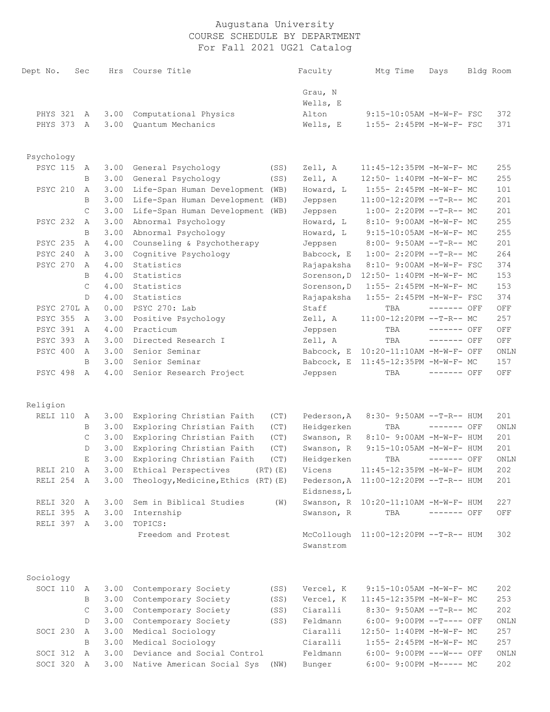| Dept No.                | Sec          | Hrs          | Course Title                             |      | Faculty                   | Mtg Time                                            | Days         | Bldg Room  |
|-------------------------|--------------|--------------|------------------------------------------|------|---------------------------|-----------------------------------------------------|--------------|------------|
|                         |              |              |                                          |      | Grau, N                   |                                                     |              |            |
|                         |              |              |                                          |      | Wells, E                  |                                                     |              |            |
| PHYS 321                | A            | 3.00         | Computational Physics                    |      | Alton                     | 9:15-10:05AM -M-W-F- FSC                            |              | 372        |
| PHYS 373                | A            | 3.00         | Quantum Mechanics                        |      | Wells, E                  | 1:55- 2:45PM -M-W-F- FSC                            |              | 371        |
|                         |              |              |                                          |      |                           |                                                     |              |            |
| Psychology              |              |              |                                          |      |                           |                                                     |              |            |
| <b>PSYC 115</b>         | A            | 3.00         | General Psychology                       | (SS) | Zell, A                   | 11:45-12:35PM -M-W-F- MC                            |              | 255        |
| PSYC 210                | B            | 3.00         | General Psychology                       | (SS) | Zell, A                   | 12:50- 1:40PM -M-W-F- MC                            |              | 255<br>101 |
|                         | Α            | 3.00         | Life-Span Human Development (WB)         |      | Howard, L                 | 1:55- 2:45PM -M-W-F- MC                             |              | 201        |
|                         | B<br>C       | 3.00<br>3.00 | Life-Span Human Development              | (WB) | Jeppsen                   | 11:00-12:20PM --T-R-- MC<br>$1:00-2:20PM --T-R--MC$ |              | 201        |
| <b>PSYC 232</b>         |              | 3.00         | Life-Span Human Development (WB)         |      | Jeppsen<br>Howard, L      | 8:10- 9:00AM -M-W-F- MC                             |              | 255        |
|                         | Α<br>B       | 3.00         | Abnormal Psychology                      |      | Howard, L                 | 9:15-10:05AM -M-W-F- MC                             |              | 255        |
| <b>PSYC 235</b>         | Α            | 4.00         | Abnormal Psychology                      |      |                           | 8:00- 9:50AM --T-R-- MC                             |              | 201        |
| PSYC 240                | Α            | 3.00         | Counseling & Psychotherapy               |      | Jeppsen                   | $1:00-2:20PM$ --T-R-- MC                            |              | 264        |
| <b>PSYC 270</b>         | Α            | 4.00         | Cognitive Psychology<br>Statistics       |      | Babcock, E                | 8:10- 9:00AM -M-W-F- FSC                            |              | 374        |
|                         | B            | 4.00         | Statistics                               |      | Rajapaksha<br>Sorenson, D | 12:50- 1:40PM -M-W-F- MC                            |              | 153        |
|                         | $\mathsf{C}$ | 4.00         | Statistics                               |      | Sorenson, D               | 1:55- 2:45PM -M-W-F- MC                             |              | 153        |
|                         | D            | 4.00         | Statistics                               |      | Rajapaksha                | 1:55- 2:45PM -M-W-F- FSC                            |              | 374        |
| PSYC 270L A             |              | 0.00         | PSYC 270: Lab                            |      | Staff                     | TBA                                                 | $------$ OFF | OFF        |
| <b>PSYC 355</b>         | Α            | 3.00         | Positive Psychology                      |      | Zell, A                   | 11:00-12:20PM --T-R-- MC                            |              | 257        |
| <b>PSYC 391</b>         | A            | 4.00         | Practicum                                |      | Jeppsen                   | TBA                                                 | ------- OFF  | OFF        |
| <b>PSYC 393</b>         | Α            | 3.00         | Directed Research I                      |      | Zell, A                   | TBA                                                 | ------- OFF  | OFF        |
| PSYC 400                | A            | 3.00         | Senior Seminar                           |      | Babcock, E                | 10:20-11:10AM -M-W-F- OFF                           |              | ONLN       |
|                         | B            | 3.00         | Senior Seminar                           |      | Babcock, E                | 11:45-12:35PM -M-W-F- MC                            |              | 157        |
| PSYC 498                | A            | 4.00         | Senior Research Project                  |      | Jeppsen                   | TBA                                                 | ------- OFF  | OFF        |
|                         |              |              |                                          |      |                           |                                                     |              |            |
| Religion                |              |              |                                          |      |                           |                                                     |              |            |
| RELI 110                | А            | 3.00         | Exploring Christian Faith                | (CT) | Pederson, A               | $8:30 - 9:50AM -T-R-- HUM$                          |              | 201        |
|                         | B            | 3.00         | Exploring Christian Faith                | (CT) | Heidgerken                | TBA                                                 | ------- OFF  | ONLN       |
|                         | C            | 3.00         | Exploring Christian Faith                | (CT) | Swanson, R                | 8:10- 9:00AM -M-W-F- HUM                            |              | 201        |
|                         | D            | 3.00         | Exploring Christian Faith                | (CT) | Swanson, R                | 9:15-10:05AM -M-W-F- HUM                            |              | 201        |
|                         | Е            | 3.00         | Exploring Christian Faith                | (CT) | Heidgerken                | TBA                                                 | $------$ OFF | ONLN       |
| RELI 210 A              |              | 3.00         | Ethical Perspectives<br>$(RT)$ $(E)$     |      | Vicens                    | 11:45-12:35PM -M-W-F- HUM                           |              | 202        |
| RELI 254 A              |              |              | 3.00 Theology, Medicine, Ethics (RT) (E) |      | Eidsness, L               | Pederson, A 11:00-12:20PM --T-R-- HUM               |              | 201        |
| RELI 320 A              |              | 3.00         | Sem in Biblical Studies                  | (W)  |                           | Swanson, R 10:20-11:10AM -M-W-F- HUM                |              | 227        |
| RELI 395                | A            | 3.00         | Internship                               |      | Swanson, R                | TBA                                                 | ------- OFF  | OFF        |
| RELI 397 A              |              | 3.00         | TOPICS:                                  |      |                           |                                                     |              |            |
|                         |              |              | Freedom and Protest                      |      | Swanstrom                 | McCollough 11:00-12:20PM --T-R-- HUM                |              | 302        |
|                         |              |              |                                          |      |                           |                                                     |              |            |
| Sociology<br>SOCI 110 A |              | 3.00         | Contemporary Society                     | (SS) | Vercel, K                 | $9:15-10:05AM$ -M-W-F- MC                           |              | 202        |
|                         | B            | 3.00         | Contemporary Society                     | (SS) | Vercel, K                 | 11:45-12:35PM -M-W-F- MC                            |              | 253        |
|                         | C            | 3.00         | Contemporary Society                     | (SS) | Ciaralli                  | 8:30- 9:50AM --T-R-- MC                             |              | 202        |
|                         | D            | 3.00         | Contemporary Society                     | (SS) | Feldmann                  | 6:00- 9:00PM --T---- OFF                            |              | ONLN       |
| SOCI 230                | A            | 3.00         | Medical Sociology                        |      | Ciaralli                  | 12:50- 1:40PM -M-W-F- MC                            |              | 257        |
|                         | B            | 3.00         | Medical Sociology                        |      | Ciaralli                  | 1:55- 2:45PM -M-W-F- MC                             |              | 257        |
| SOCI 312                | A            | 3.00         | Deviance and Social Control              |      | Feldmann                  | 6:00- 9:00PM ---W--- OFF                            |              | ONLN       |
| SOCI 320 A              |              | 3.00         | Native American Social Sys               | (NW) | Bunger                    | $6:00-9:00PM -M--- MC$                              |              | 202        |
|                         |              |              |                                          |      |                           |                                                     |              |            |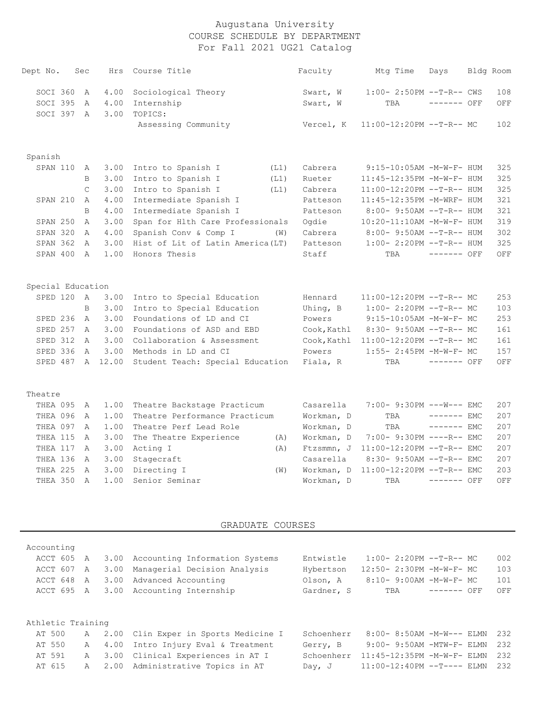| Dept No.          | Sec            | Hrs          | Course Title                                             |      | Faculty             | Mtg Time                                          | Days         | Bldg Room  |
|-------------------|----------------|--------------|----------------------------------------------------------|------|---------------------|---------------------------------------------------|--------------|------------|
| SOCI 360          | A              | 4.00         | Sociological Theory                                      |      | Swart, W            | $1:00-2:50PM -T-R--CWS$                           |              | 108        |
| SOCI 395          | Α              | 4.00         | Internship                                               |      | Swart, W            | TBA                                               | $------$ OFF | OFF        |
| SOCI 397 A        |                | 3.00         | TOPICS:                                                  |      |                     |                                                   |              |            |
|                   |                |              | Assessing Community                                      |      | Vercel, K           | $11:00-12:20PM$ --T-R-- MC                        |              | 102        |
| Spanish           |                |              |                                                          |      |                     |                                                   |              |            |
| SPAN 110          | A              | 3.00         | Intro to Spanish I                                       | (L1) | Cabrera             | 9:15-10:05AM -M-W-F- HUM                          |              | 325        |
|                   | $\mathbf B$    | 3.00         | Intro to Spanish I                                       | (L1) | Rueter              | 11:45-12:35PM -M-W-F- HUM                         |              | 325        |
|                   | $\mathsf{C}$   | 3.00         | Intro to Spanish I                                       | (L1) | Cabrera             | 11:00-12:20PM --T-R-- HUM                         |              | 325        |
| SPAN 210          | $\overline{A}$ | 4.00         | Intermediate Spanish I                                   |      | Patteson            | 11:45-12:35PM -M-WRF- HUM                         |              | 321        |
|                   | B              | 4.00         | Intermediate Spanish I                                   |      | Patteson            | 8:00- 9:50AM --T-R-- HUM                          |              | 321        |
| SPAN 250          | A              | 3.00         | Span for Hlth Care Professionals                         |      | Ogdie               | 10:20-11:10AM -M-W-F- HUM                         |              | 319        |
| SPAN 320          | $\mathbb{A}$   | 4.00         | Spanish Conv & Comp I                                    | (W)  | Cabrera             | 8:00- 9:50AM --T-R-- HUM                          |              | 302        |
| SPAN 362          | $\mathbb{A}$   | 3.00         | Hist of Lit of Latin America (LT)                        |      | Patteson            | $1:00-2:20PM -T-R--HUM$                           |              | 325        |
| SPAN 400          | A              | 1.00         | Honors Thesis                                            |      | Staff               | TBA                                               | $------$ OFF | OFF        |
|                   |                |              |                                                          |      |                     |                                                   |              |            |
| Special Education |                |              |                                                          |      |                     |                                                   |              |            |
| SPED 120          | A<br>B         | 3.00<br>3.00 | Intro to Special Education<br>Intro to Special Education |      | Hennard<br>Uhing, B | 11:00-12:20PM --T-R-- MC                          |              | 253<br>103 |
| SPED 236          | A              | 3.00         | Foundations of LD and CI                                 |      | Powers              | $1:00-2:20PM -T-R--MC$<br>9:15-10:05AM -M-W-F- MC |              | 253        |
| SPED 257          | A              | 3.00         | Foundations of ASD and EBD                               |      | Cook, Kathl         | 8:30- 9:50AM --T-R-- MC                           |              | 161        |
| SPED 312          | A              | 3.00         | Collaboration & Assessment                               |      | Cook, Kathl         | 11:00-12:20PM --T-R-- MC                          |              | 161        |
| SPED 336          | A              | 3.00         | Methods in LD and CI                                     |      | Powers              | 1:55- 2:45PM -M-W-F- MC                           |              | 157        |
| SPED 487 A 12.00  |                |              | Student Teach: Special Education                         |      | Fiala, R            | TBA                                               | $------$ OFF | OFF        |
|                   |                |              |                                                          |      |                     |                                                   |              |            |
| Theatre           |                |              |                                                          |      |                     |                                                   |              |            |
| THEA 095          | A              | 1.00         | Theatre Backstage Practicum                              |      | Casarella           | 7:00- 9:30PM --- W--- EMC                         |              | 207        |
| THEA 096          | Α              | 1.00         | Theatre Performance Practicum                            |      | Workman, D          | TBA                                               | $------$ EMC | 207        |
| THEA 097          | $\mathsf{A}$   | 1.00         | Theatre Perf Lead Role                                   |      | Workman, D          | TBA                                               | $------$ EMC | 207        |
| THEA 115          | A              | 3.00         | The Theatre Experience                                   | (A)  | Workman, D          | 7:00- 9:30PM ----R-- EMC                          |              | 207        |
| THEA 117          | A              | 3.00         | Acting I                                                 | (A)  | Ftzsmmn, J          | 11:00-12:20PM --T-R-- EMC                         |              | 207        |
| THEA 136          | A              | 3.00         | Stagecraft                                               |      | Casarella           | 8:30- 9:50AM --T-R-- EMC                          |              | 207        |
| THEA 225          | $\mathbb{A}$   | 3.00         | Directing I                                              | (W)  | Workman, D          | 11:00-12:20PM --T-R-- EMC                         |              | 203        |
| THEA 350          | $\mathsf{A}$   | 1.00         | Senior Seminar                                           |      | Workman, D          | TBA                                               | $------$ OFF | OFF        |

GRADUATE COURSES

| Accounting        |              |      |                                 |            |                               |              |     |
|-------------------|--------------|------|---------------------------------|------------|-------------------------------|--------------|-----|
| ACCT 605          | A            | 3.00 | Accounting Information Systems  | Entwistle  | $1:00-2:20PM --T-R--MC$       |              | 002 |
| ACCT 607          | A            | 3.00 | Managerial Decision Analysis    | Hybertson  | 12:50- 2:30PM -M-W-F- MC      |              | 103 |
| ACCT 648          | A            | 3.00 | Advanced Accounting             | Olson, A   | 8:10- 9:00AM -M-W-F- MC       |              | 101 |
| ACCT 695 A        |              | 3.00 | Accounting Internship           | Gardner, S | TBA                           | $------$ OFF | OFF |
|                   |              |      |                                 |            |                               |              |     |
|                   |              |      |                                 |            |                               |              |     |
| Athletic Training |              |      |                                 |            |                               |              |     |
| AT 500            | A            | 2.00 | Clin Exper in Sports Medicine I | Schoenherr | $8:00 - 8:50AM - M-W---$ ELMN |              | 232 |
| AT 550            | A            | 4.00 | Intro Injury Eval & Treatment   | Gerry, B   | $9:00-9:50AM - MTW-F-ELMN$    |              | 232 |
| AT 591            | A            | 3.00 | Clinical Experiences in AT I    | Schoenherr | 11:45-12:35PM -M-W-F- ELMN    |              | 232 |
| AT 615            | $\mathsf{A}$ | 2.00 | Administrative Topics in AT     | Day, $J$   | $11:00-12:40PM$ --T---- ELMN  |              | 232 |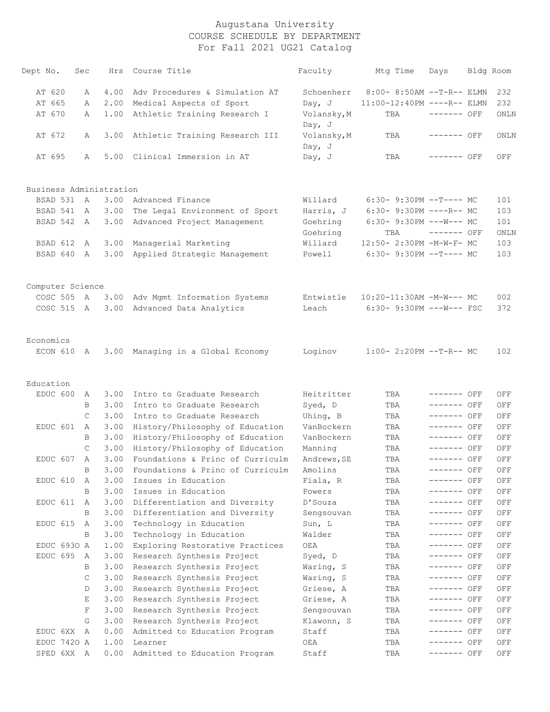| Dept No.                | Sec | Hrs  | Course Title                      | Faculty                 | Mtg Time                        | Days         | Bldg Room   |
|-------------------------|-----|------|-----------------------------------|-------------------------|---------------------------------|--------------|-------------|
| AT 620                  | Α   | 4.00 | Adv Procedures & Simulation AT    | Schoenherr              | $8:00-8:50AM$ --T-R-- ELMN      |              | 232         |
| AT 665                  | Α   | 2.00 | Medical Aspects of Sport          | Day, $J$                | 11:00-12:40PM ----R-- ELMN      |              | 232         |
| AT 670                  | А   | 1.00 | Athletic Training Research I      | Volansky, M<br>Day, $J$ | TBA                             | ------- OFF  | ONLN        |
| AT 672                  | А   | 3.00 | Athletic Training Research III    | Volansky, M<br>Day, J   | TBA                             | ------- OFF  | ONLN        |
| AT 695                  | Α   |      | 5.00 Clinical Immersion in AT     | Day, J                  | TBA                             | ------- OFF  | OFF         |
| Business Administration |     |      |                                   |                         |                                 |              |             |
| BSAD 531                | A   | 3.00 | Advanced Finance                  | Willard                 | $6:30-9:30PM --T---MC$          |              | 101         |
| BSAD 541                | A   | 3.00 | The Legal Environment of Sport    | Harris, J               | $6:30-9:30PM$ ----R-- MC        |              | 103         |
| BSAD 542                | A   | 3.00 | Advanced Project Management       | Goehring<br>Goehring    | $6:30-9:30PM$ ---W--- MC<br>TBA | $------$ OFF | 101<br>ONLN |
| BSAD 612                | A   | 3.00 | Managerial Marketing              | Willard                 | 12:50- 2:30PM -M-W-F- MC        |              | 103         |
| BSAD 640                | A   | 3.00 | Applied Strategic Management      | Powell                  | $6:30-9:30PM --T---MC$          |              | 103         |
| Computer Science        |     |      |                                   |                         |                                 |              |             |
| COSC 505 A              |     | 3.00 | Adv Mgmt Information Systems      | Entwistle               | 10:20-11:30AM -M-W--- MC        |              | 002         |
| COSC 515 A              |     | 3.00 | Advanced Data Analytics           | Leach                   | $6:30-9:30PM$ ---W--- FSC       |              | 372         |
| Economics               |     |      |                                   |                         |                                 |              |             |
| ECON 610                | A   |      | 3.00 Managing in a Global Economy | Loginov                 | $1:00-2:20PM -T-R--MC$          |              | 102         |
| Education               |     |      |                                   |                         |                                 |              |             |
| EDUC 600                | А   | 3.00 | Intro to Graduate Research        | Heitritter              | TBA                             | ------- OFF  | OFF         |
|                         | B   | 3.00 | Intro to Graduate Research        | Syed, D                 | TBA                             | ------- OFF  | OFF         |
|                         | C   | 3.00 | Intro to Graduate Research        | Uhing, B                | TBA                             | ------- OFF  | OFF         |
| EDUC 601                | A   | 3.00 | History/Philosophy of Education   | VanBockern              | TBA                             | ------- OFF  | OFF         |
|                         | B   | 3.00 | History/Philosophy of Education   | VanBockern              | TBA                             | ------- OFF  | OFF         |
|                         | C   | 3.00 | History/Philosophy of Education   | Manning                 | TBA                             | ------- OFF  | OFF         |
| EDUC 607                | A   | 3.00 | Foundations & Princ of Curriculm  | Andrews, SE             | TBA                             | ------- OFF  | OFF         |
|                         | В   | 3.00 | Foundations & Princ of Curriculm  | Amolins                 | TBA                             | ------- OFF  | OFF         |
| EDUC 610                | Α   | 3.00 | Issues in Education               | Fiala, R                | TBA                             | ------- OFF  | OFF         |
|                         | B   | 3.00 | Issues in Education               | Powers                  | TBA                             | ------- OFF  | OFF         |
| EDUC 611                | Α   | 3.00 | Differentiation and Diversity     | D'Souza                 | TBA                             | $------$ OFF | OFF         |
|                         | B   | 3.00 | Differentiation and Diversity     | Sengsouvan              | TBA                             | ------- OFF  | OFF         |
| EDUC 615                | Α   | 3.00 | Technology in Education           | Sun, L                  | TBA                             | ------- OFF  | OFF         |
|                         | B   | 3.00 | Technology in Education           | Walder                  | TBA                             | ------- OFF  | OFF         |
| EDUC 6930 A             |     | 1.00 | Exploring Restorative Practices   | OEA                     | TBA                             | ------- OFF  | OFF         |
| EDUC 695                | Α   | 3.00 | Research Synthesis Project        | Syed, D                 | TBA                             | ------- OFF  | OFF         |
|                         | В   | 3.00 | Research Synthesis Project        | Waring, S               | TBA                             | ------- OFF  | OFF         |
|                         | C   | 3.00 | Research Synthesis Project        | Waring, S               | TBA                             | ------- OFF  | OFF         |
|                         | D   | 3.00 | Research Synthesis Project        | Griese, A               | TBA                             | ------- OFF  | OFF         |
|                         | Е   | 3.00 | Research Synthesis Project        | Griese, A               | TBA                             | ------- OFF  | OFF         |
|                         | F   | 3.00 | Research Synthesis Project        | Sengsouvan              | TBA                             | ------- OFF  | OFF         |
|                         | G   | 3.00 | Research Synthesis Project        | Klawonn, S              | TBA                             | ------- OFF  | OFF         |
| EDUC 6XX                | Α   | 0.00 | Admitted to Education Program     | Staff                   | TBA                             | ------- OFF  | OFF         |
| EDUC 7420 A             |     | 1.00 | Learner                           | OEA                     | TBA                             | ------- OFF  | OFF         |
| SPED 6XX                | A   | 0.00 | Admitted to Education Program     | Staff                   | TBA                             | ------- OFF  | OFF         |